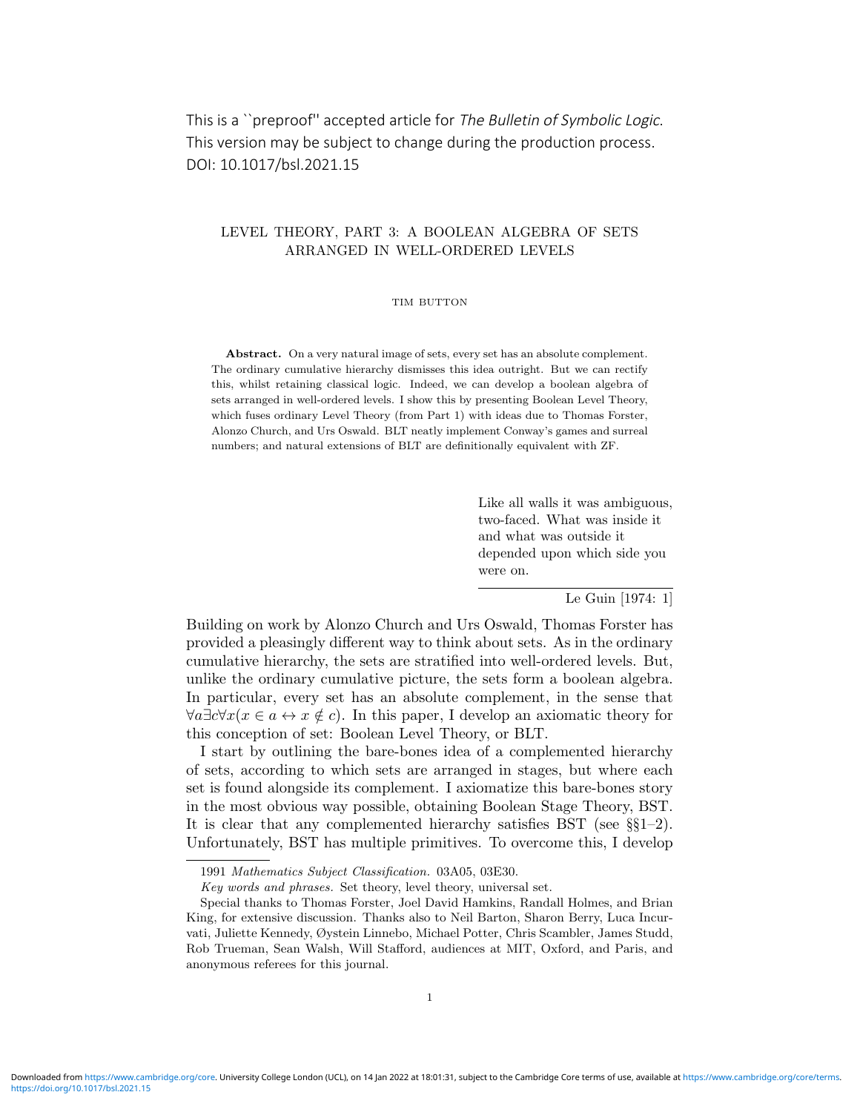# This is a ``preproof'' accepted article for The Bulletin of Symbolic Logic. This version may be subject to change during the production process. DOI: 10.1017/bsl.2021.15

# LEVEL THEORY, PART 3: A BOOLEAN ALGEBRA OF SETS ARRANGED IN WELL-ORDERED LEVELS

#### TIM BUTTON

Abstract. On a very natural image of sets, every set has an absolute complement. The ordinary cumulative hierarchy dismisses this idea outright. But we can rectify this, whilst retaining classical logic. Indeed, we can develop a boolean algebra of sets arranged in well-ordered levels. I show this by presenting Boolean Level Theory, which fuses ordinary Level Theory (from Part 1) with ideas due to Thomas Forster, Alonzo Church, and Urs Oswald. BLT neatly implement Conway's games and surreal numbers; and natural extensions of BLT are definitionally equivalent with ZF.

> Like all walls it was ambiguous, two-faced. What was inside it and what was outside it depended upon which side you were on.

> > Le Guin [1974: 1]

Building on work by Alonzo Church and Urs Oswald, Thomas Forster has provided a pleasingly different way to think about sets. As in the ordinary cumulative hierarchy, the sets are stratified into well-ordered levels. But, unlike the ordinary cumulative picture, the sets form a boolean algebra. In particular, every set has an absolute complement, in the sense that  $\forall a \exists c \forall x (x \in a \leftrightarrow x \notin c)$ . In this paper, I develop an axiomatic theory for this conception of set: Boolean Level Theory, or BLT.

I start by outlining the bare-bones idea of a complemented hierarchy of sets, according to which sets are arranged in stages, but where each set is found alongside its complement. I axiomatize this bare-bones story in the most obvious way possible, obtaining Boolean Stage Theory, BST. It is clear that any complemented hierarchy satisfies BST (see §§1–2). Unfortunately, BST has multiple primitives. To overcome this, I develop

<sup>1991</sup> Mathematics Subject Classification. 03A05, 03E30.

Key words and phrases. Set theory, level theory, universal set.

Special thanks to Thomas Forster, Joel David Hamkins, Randall Holmes, and Brian King, for extensive discussion. Thanks also to Neil Barton, Sharon Berry, Luca Incurvati, Juliette Kennedy, Øystein Linnebo, Michael Potter, Chris Scambler, James Studd, Rob Trueman, Sean Walsh, Will Stafford, audiences at MIT, Oxford, and Paris, and anonymous referees for this journal.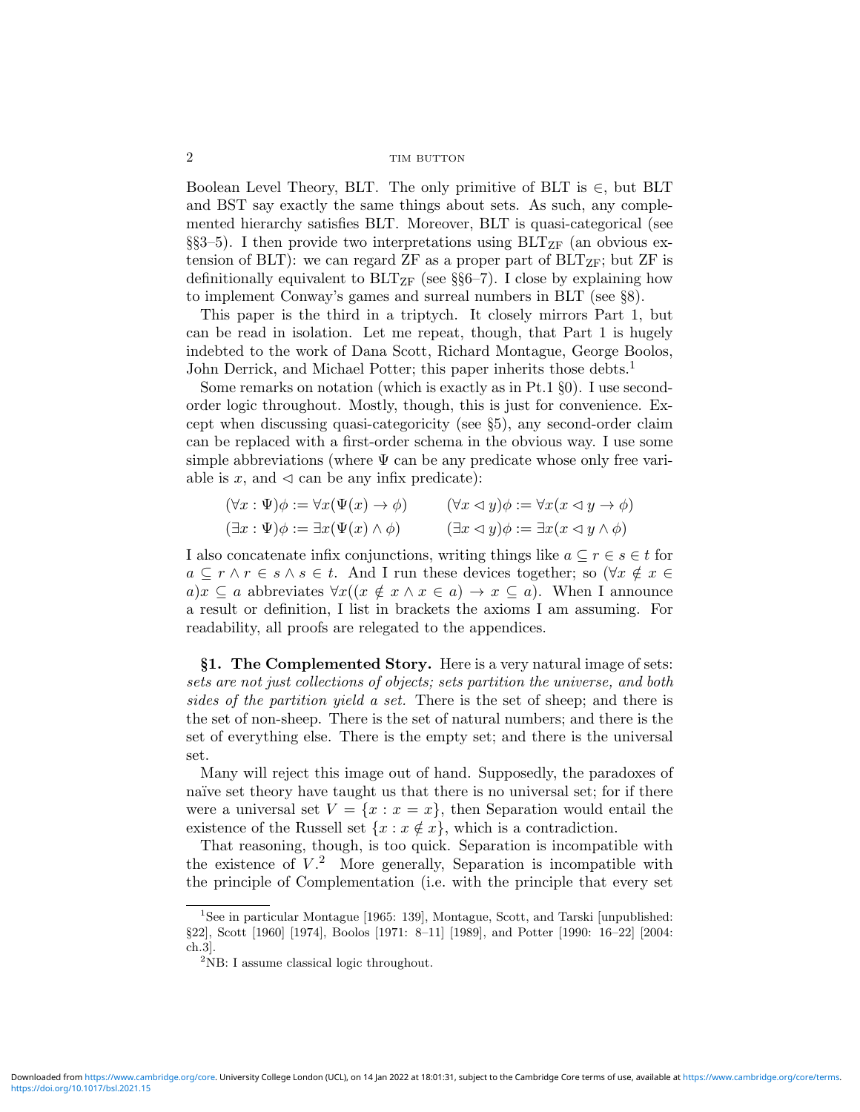Boolean Level Theory, BLT. The only primitive of BLT is  $\in$ , but BLT and BST say exactly the same things about sets. As such, any complemented hierarchy satisfies BLT. Moreover, BLT is quasi-categorical (see §§3–5). I then provide two interpretations using  $BLT_{ZF}$  (an obvious extension of BLT): we can regard ZF as a proper part of  $BLT_{ZF}$ ; but ZF is definitionally equivalent to  $BLT_{ZF}$  (see §§6–7). I close by explaining how to implement Conway's games and surreal numbers in BLT (see §8).

This paper is the third in a triptych. It closely mirrors Part 1, but can be read in isolation. Let me repeat, though, that Part 1 is hugely indebted to the work of Dana Scott, Richard Montague, George Boolos, John Derrick, and Michael Potter; this paper inherits those debts.<sup>1</sup>

Some remarks on notation (which is exactly as in Pt.1 §0). I use secondorder logic throughout. Mostly, though, this is just for convenience. Except when discussing quasi-categoricity (see §5), any second-order claim can be replaced with a first-order schema in the obvious way. I use some simple abbreviations (where  $\Psi$  can be any predicate whose only free variable is x, and  $\triangleleft$  can be any infix predicate):

$$
(\forall x : \Psi)\phi := \forall x(\Psi(x) \to \phi) \qquad (\forall x \leq y)\phi := \forall x(x \leq y \to \phi)
$$
  

$$
(\exists x : \Psi)\phi := \exists x(\Psi(x) \land \phi) \qquad (\exists x \leq y)\phi := \exists x(x \leq y \land \phi)
$$

I also concatenate infix conjunctions, writing things like  $a \subseteq r \in s \in t$  for  $a \subseteq r \wedge r \in s \wedge s \in t$ . And I run these devices together; so  $(\forall x \notin x \in$  $a)x \subseteq a$  abbreviates  $\forall x((x \notin x \land x \in a) \rightarrow x \subseteq a)$ . When I announce a result or definition, I list in brackets the axioms I am assuming. For readability, all proofs are relegated to the appendices.

§1. The Complemented Story. Here is a very natural image of sets: sets are not just collections of objects; sets partition the universe, and both sides of the partition yield a set. There is the set of sheep; and there is the set of non-sheep. There is the set of natural numbers; and there is the set of everything else. There is the empty set; and there is the universal set.

Many will reject this image out of hand. Supposedly, the paradoxes of naïve set theory have taught us that there is no universal set; for if there were a universal set  $V = \{x : x = x\}$ , then Separation would entail the existence of the Russell set  $\{x : x \notin x\}$ , which is a contradiction.

That reasoning, though, is too quick. Separation is incompatible with the existence of  $V<sup>2</sup>$ . More generally, Separation is incompatible with the principle of Complementation (i.e. with the principle that every set

<sup>1</sup>See in particular Montague [1965: 139], Montague, Scott, and Tarski [unpublished: §22], Scott [1960] [1974], Boolos [1971: 8–11] [1989], and Potter [1990: 16–22] [2004: ch.3].

 $2$ NB: I assume classical logic throughout.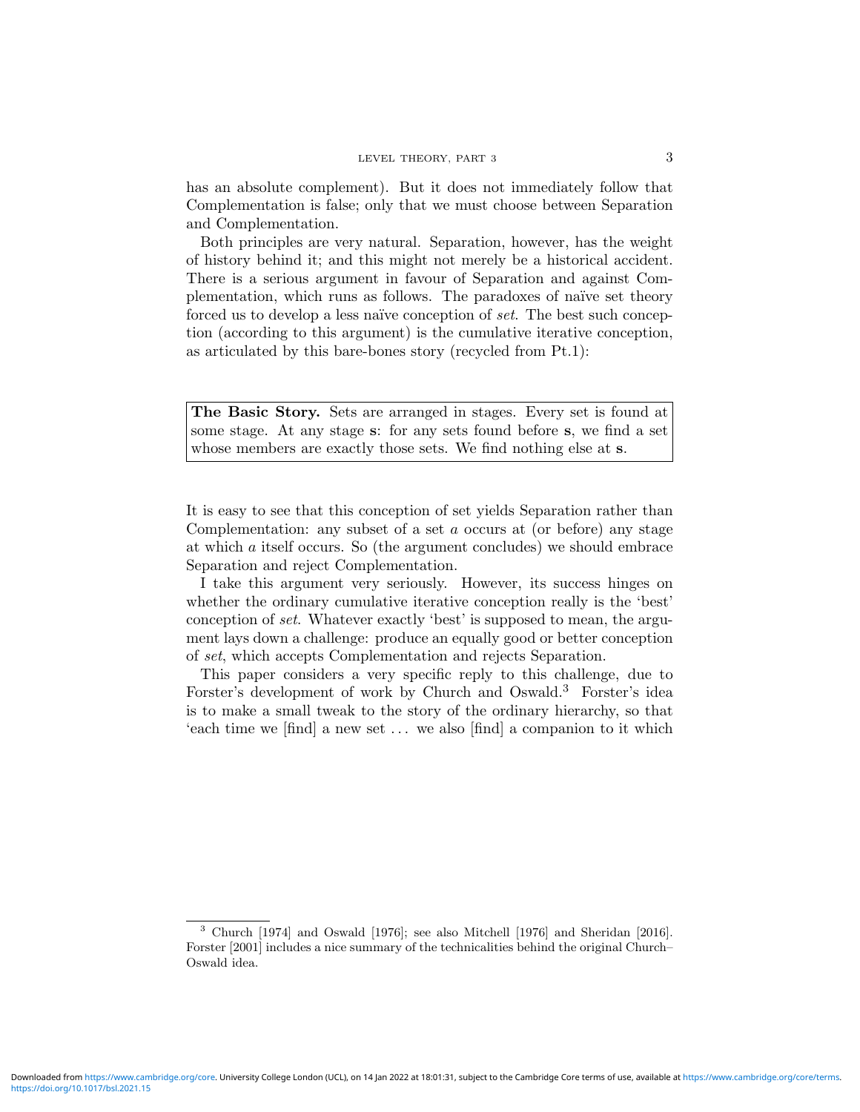has an absolute complement). But it does not immediately follow that Complementation is false; only that we must choose between Separation and Complementation.

Both principles are very natural. Separation, however, has the weight of history behind it; and this might not merely be a historical accident. There is a serious argument in favour of Separation and against Complementation, which runs as follows. The paradoxes of naïve set theory forced us to develop a less naïve conception of set. The best such conception (according to this argument) is the cumulative iterative conception, as articulated by this bare-bones story (recycled from Pt.1):

The Basic Story. Sets are arranged in stages. Every set is found at some stage. At any stage s: for any sets found before s, we find a set whose members are exactly those sets. We find nothing else at s.

It is easy to see that this conception of set yields Separation rather than Complementation: any subset of a set a occurs at (or before) any stage at which a itself occurs. So (the argument concludes) we should embrace Separation and reject Complementation.

I take this argument very seriously. However, its success hinges on whether the ordinary cumulative iterative conception really is the 'best' conception of set. Whatever exactly 'best' is supposed to mean, the argument lays down a challenge: produce an equally good or better conception of set, which accepts Complementation and rejects Separation.

This paper considers a very specific reply to this challenge, due to Forster's development of work by Church and Oswald.<sup>3</sup> Forster's idea is to make a small tweak to the story of the ordinary hierarchy, so that 'each time we [find] a new set . . . we also [find] a companion to it which

<sup>3</sup> Church [1974] and Oswald [1976]; see also Mitchell [1976] and Sheridan [2016]. Forster [2001] includes a nice summary of the technicalities behind the original Church– Oswald idea.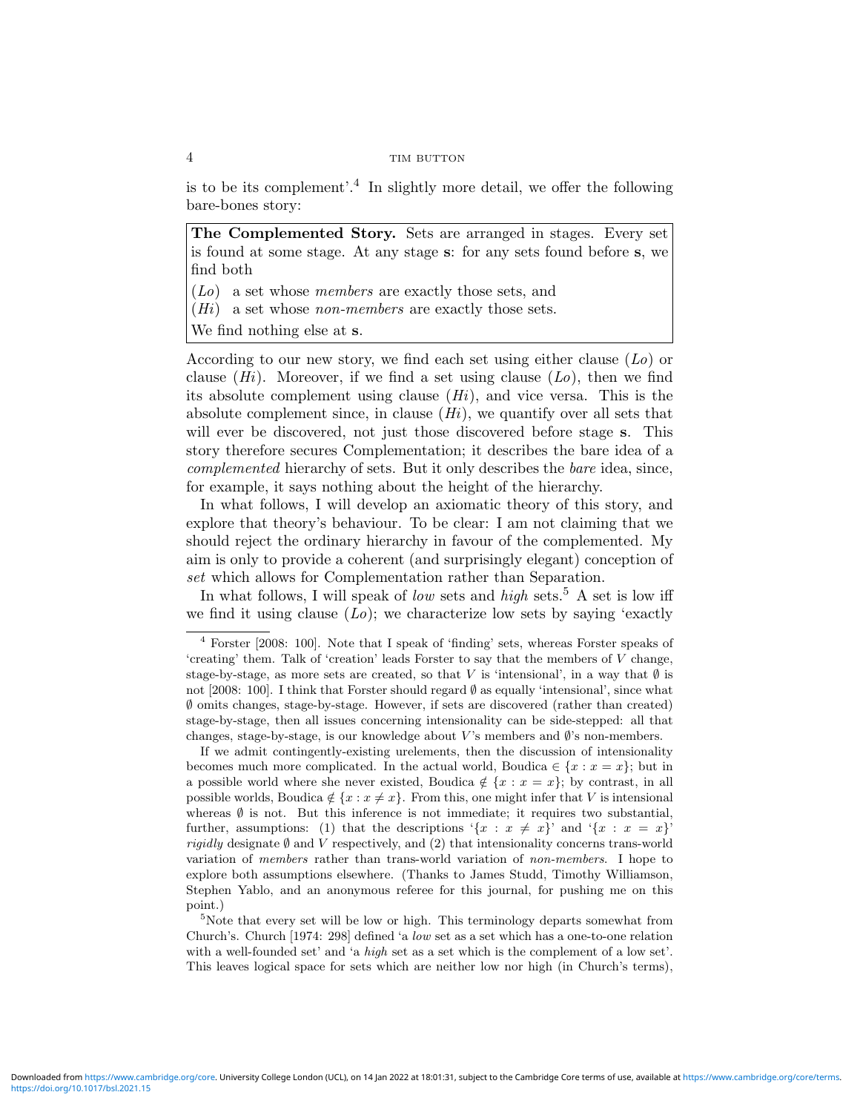is to be its complement'.<sup>4</sup> In slightly more detail, we offer the following bare-bones story:

The Complemented Story. Sets are arranged in stages. Every set is found at some stage. At any stage s: for any sets found before s, we find both

(Lo) a set whose members are exactly those sets, and

 $(Hi)$  a set whose *non-members* are exactly those sets.

We find nothing else at s.

According to our new story, we find each set using either clause  $(L_0)$  or clause  $(H_i)$ . Moreover, if we find a set using clause  $(Lo)$ , then we find its absolute complement using clause  $(H<sub>i</sub>)$ , and vice versa. This is the absolute complement since, in clause  $(H_i)$ , we quantify over all sets that will ever be discovered, not just those discovered before stage s. This story therefore secures Complementation; it describes the bare idea of a complemented hierarchy of sets. But it only describes the bare idea, since, for example, it says nothing about the height of the hierarchy.

In what follows, I will develop an axiomatic theory of this story, and explore that theory's behaviour. To be clear: I am not claiming that we should reject the ordinary hierarchy in favour of the complemented. My aim is only to provide a coherent (and surprisingly elegant) conception of set which allows for Complementation rather than Separation.

In what follows, I will speak of *low* sets and *high* sets.<sup>5</sup> A set is low iff we find it using clause  $(Lo)$ ; we characterize low sets by saying 'exactly

If we admit contingently-existing urelements, then the discussion of intensionality becomes much more complicated. In the actual world, Boudica  $\in \{x : x = x\}$ ; but in a possible world where she never existed, Boudica  $\notin \{x : x = x\}$ ; by contrast, in all possible worlds, Boudica  $\notin \{x : x \neq x\}$ . From this, one might infer that V is intensional whereas  $\emptyset$  is not. But this inference is not immediate; it requires two substantial, further, assumptions: (1) that the descriptions  $\{x : x \neq x\}$  and  $\{x : x = x\}$ *rigidly* designate  $\emptyset$  and V respectively, and (2) that intensionality concerns trans-world variation of members rather than trans-world variation of non-members. I hope to explore both assumptions elsewhere. (Thanks to James Studd, Timothy Williamson, Stephen Yablo, and an anonymous referee for this journal, for pushing me on this point.)

<sup>5</sup>Note that every set will be low or high. This terminology departs somewhat from Church's. Church [1974: 298] defined 'a low set as a set which has a one-to-one relation with a well-founded set' and 'a *high* set as a set which is the complement of a low set'. This leaves logical space for sets which are neither low nor high (in Church's terms),

<sup>4</sup> Forster [2008: 100]. Note that I speak of 'finding' sets, whereas Forster speaks of 'creating' them. Talk of 'creation' leads Forster to say that the members of V change, stage-by-stage, as more sets are created, so that V is 'intensional', in a way that  $\emptyset$  is not [2008: 100]. I think that Forster should regard  $\emptyset$  as equally 'intensional', since what ∅ omits changes, stage-by-stage. However, if sets are discovered (rather than created) stage-by-stage, then all issues concerning intensionality can be side-stepped: all that changes, stage-by-stage, is our knowledge about  $V$ 's members and  $\emptyset$ 's non-members.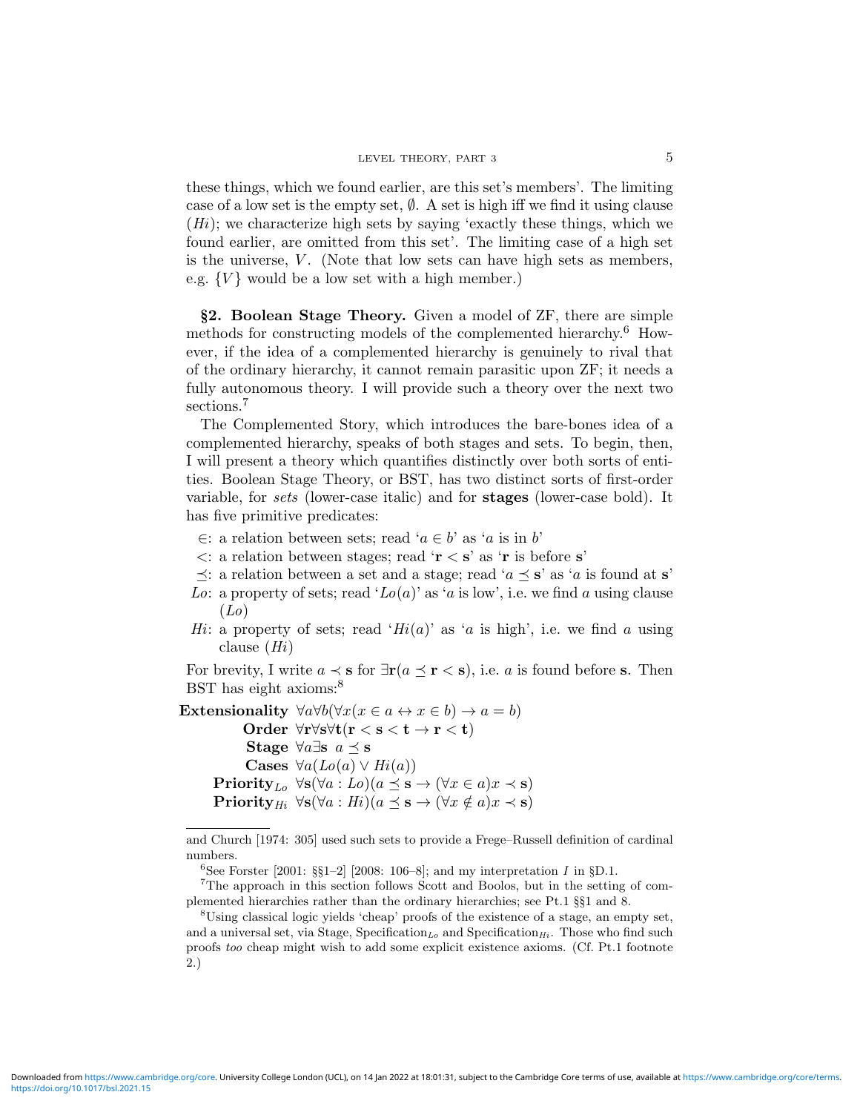these things, which we found earlier, are this set's members'. The limiting case of a low set is the empty set,  $\emptyset$ . A set is high iff we find it using clause  $(H<sub>i</sub>)$ ; we characterize high sets by saying 'exactly these things, which we found earlier, are omitted from this set'. The limiting case of a high set is the universe,  $V$ . (Note that low sets can have high sets as members, e.g.  $\{V\}$  would be a low set with a high member.)

§2. Boolean Stage Theory. Given a model of ZF, there are simple methods for constructing models of the complemented hierarchy.<sup>6</sup> However, if the idea of a complemented hierarchy is genuinely to rival that of the ordinary hierarchy, it cannot remain parasitic upon ZF; it needs a fully autonomous theory. I will provide such a theory over the next two sections.<sup>7</sup>

The Complemented Story, which introduces the bare-bones idea of a complemented hierarchy, speaks of both stages and sets. To begin, then, I will present a theory which quantifies distinctly over both sorts of entities. Boolean Stage Theory, or BST, has two distinct sorts of first-order variable, for *sets* (lower-case italic) and for **stages** (lower-case bold). It has five primitive predicates:

- ∈: a relation between sets; read 'a ∈ b' as 'a is in b'
- $\langle$ : a relation between stages; read '**r**  $\langle$  **s**' as '**r** is before **s**'
- $\preceq$ : a relation between a set and a stage; read ' $a \preceq s$ ' as 'a is found at s'
- Lo: a property of sets; read ' $Lo(a)$ ' as 'a is low', i.e. we find a using clause  $(Lo)$
- Hi: a property of sets; read 'Hi(a)' as 'a is high', i.e. we find a using clause  $(Hi)$

For brevity, I write  $a \prec s$  for  $\exists r (a \preceq r \prec s)$ , i.e. a is found before s. Then BST has eight axioms:<sup>8</sup>

Extensionality  $\forall a \forall b (\forall x (x \in a \leftrightarrow x \in b) \rightarrow a = b)$ Order ∀r∀s∀t(r < s < t → r < t) Stage  $\forall a \exists s \ a \preceq s$ Cases  $\forall a (Lo(a) \vee Hi(a))$ Priority<sub>Lo</sub>  $\forall$ s( $\forall$ a : Lo)(a  $\preceq$  s  $\rightarrow$  ( $\forall$ x  $\in$  a)x  $\prec$  s) Priority<sub>Hi</sub>  $\forall$ s( $\forall$ a : Hi)(a  $\preceq$  s  $\rightarrow$  ( $\forall$ x  $\notin$  a)x  $\prec$  s)

and Church [1974: 305] used such sets to provide a Frege–Russell definition of cardinal numbers.

<sup>&</sup>lt;sup>6</sup>See Forster [2001: §§1–2] [2008: 106–8]; and my interpretation *I* in §D.1.

<sup>7</sup>The approach in this section follows Scott and Boolos, but in the setting of complemented hierarchies rather than the ordinary hierarchies; see Pt.1 §§1 and 8.

<sup>&</sup>lt;sup>8</sup>Using classical logic yields 'cheap' proofs of the existence of a stage, an empty set, and a universal set, via Stage, Specification<sub>Lo</sub> and Specification<sub>Hi</sub>. Those who find such proofs too cheap might wish to add some explicit existence axioms. (Cf. Pt.1 footnote 2.)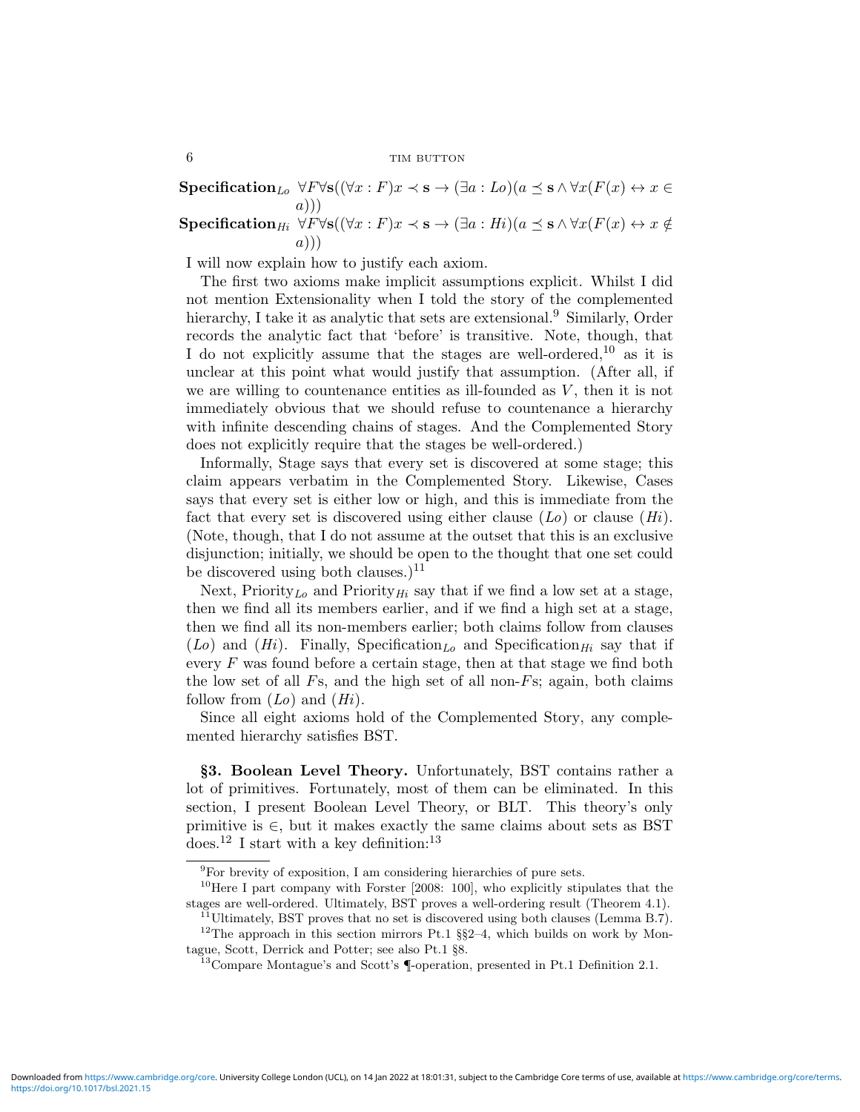$\textbf{Specification}_{Lo} \,\,\forall F \forall \mathbf{s} ((\forall x : F)x \prec \mathbf{s} \rightarrow (\exists a : Lo)(a \preceq \mathbf{s} \wedge \forall x (F(x) \leftrightarrow x \in \mathbf{s}))$ a))) Specification<sub>Hi</sub>  $\forall F\forall s((\forall x : F)x \prec s \rightarrow (\exists a : Hi)(a \preceq s \land \forall x (F(x) \leftrightarrow x \notin g))$  $(a)$ )

I will now explain how to justify each axiom.

The first two axioms make implicit assumptions explicit. Whilst I did not mention Extensionality when I told the story of the complemented hierarchy, I take it as analytic that sets are extensional.<sup>9</sup> Similarly, Order records the analytic fact that 'before' is transitive. Note, though, that I do not explicitly assume that the stages are well-ordered,  $10$  as it is unclear at this point what would justify that assumption. (After all, if we are willing to countenance entities as ill-founded as  $V$ , then it is not immediately obvious that we should refuse to countenance a hierarchy with infinite descending chains of stages. And the Complemented Story does not explicitly require that the stages be well-ordered.)

Informally, Stage says that every set is discovered at some stage; this claim appears verbatim in the Complemented Story. Likewise, Cases says that every set is either low or high, and this is immediate from the fact that every set is discovered using either clause  $(L_0)$  or clause  $(H_i)$ . (Note, though, that I do not assume at the outset that this is an exclusive disjunction; initially, we should be open to the thought that one set could be discovered using both clauses.)<sup>11</sup>

Next, Priority<sub>Lo</sub> and Priority<sub>Hi</sub> say that if we find a low set at a stage, then we find all its members earlier, and if we find a high set at a stage, then we find all its non-members earlier; both claims follow from clauses  $(Lo)$  and  $(Hi)$ . Finally, Specification<sub>Lo</sub> and Specification<sub>Hi</sub> say that if every  $F$  was found before a certain stage, then at that stage we find both the low set of all  $Fs$ , and the high set of all non- $Fs$ ; again, both claims follow from  $(Lo)$  and  $(Hi)$ .

Since all eight axioms hold of the Complemented Story, any complemented hierarchy satisfies BST.

§3. Boolean Level Theory. Unfortunately, BST contains rather a lot of primitives. Fortunately, most of them can be eliminated. In this section, I present Boolean Level Theory, or BLT. This theory's only primitive is  $\in$ , but it makes exactly the same claims about sets as BST does.<sup>12</sup> I start with a key definition:<sup>13</sup>

 $9$ For brevity of exposition, I am considering hierarchies of pure sets.

<sup>10</sup>Here I part company with Forster [2008: 100], who explicitly stipulates that the stages are well-ordered. Ultimately, BST proves a well-ordering result (Theorem 4.1).

 $^{11}$ Ultimately, BST proves that no set is discovered using both clauses (Lemma B.7).  $12$ The approach in this section mirrors Pt.1 §§2-4, which builds on work by Montague, Scott, Derrick and Potter; see also Pt.1 §8.

<sup>13</sup>Compare Montague's and Scott's ¶-operation, presented in Pt.1 Definition 2.1.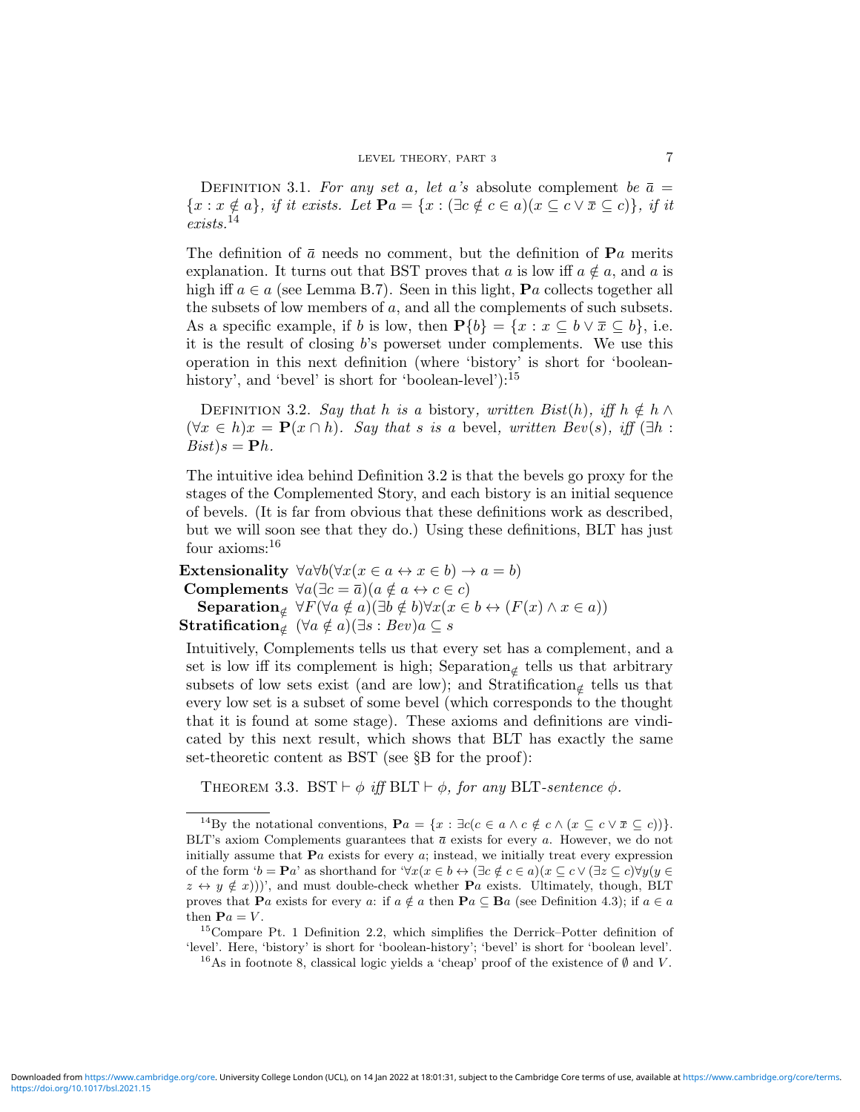DEFINITION 3.1. For any set a, let a's absolute complement be  $\bar{a} =$  ${x : x \notin a}$ , if it exists. Let  $\mathbf{P}a = {x : (\exists c \notin c \in a)(x \subseteq c \vee \overline{x} \subseteq c)}$ , if it  $exists.$ <sup>14</sup>

The definition of  $\bar{a}$  needs no comment, but the definition of  $\mathbf{P}a$  merits explanation. It turns out that BST proves that a is low iff  $a \notin a$ , and a is high iff  $a \in a$  (see Lemma B.7). Seen in this light, **P**a collects together all the subsets of low members of  $a$ , and all the complements of such subsets. As a specific example, if b is low, then  $P\{b\} = \{x : x \subseteq b \lor \overline{x} \subseteq b\}$ , i.e. it is the result of closing b's powerset under complements. We use this operation in this next definition (where 'bistory' is short for 'booleanhistory', and 'bevel' is short for 'boolean-level'):<sup>15</sup>

DEFINITION 3.2. Say that h is a bistory, written Bist(h), iff  $h \notin h \wedge$  $(\forall x \in h)x = \mathbf{P}(x \cap h)$ . Say that s is a bevel, written Bev(s), iff  $(\exists h :$  $Bist$ ) $s = Ph$ .

The intuitive idea behind Definition 3.2 is that the bevels go proxy for the stages of the Complemented Story, and each bistory is an initial sequence of bevels. (It is far from obvious that these definitions work as described, but we will soon see that they do.) Using these definitions, BLT has just four axioms:<sup>16</sup>

Extensionality  $\forall a \forall b (\forall x (x \in a \leftrightarrow x \in b) \rightarrow a = b)$ Complements  $\forall a(\exists c = \bar{a})(a \notin a \leftrightarrow c \in c)$ Separation<sub>∉</sub>  $\forall F(\forall a \notin a)(\exists b \notin b) \forall x (x \in b \leftrightarrow (F(x) \land x \in a))$  $\textbf{Stratification}_{\notin}\ (\forall a\notin a)(\exists s:Bev)a\subseteq s$ 

Intuitively, Complements tells us that every set has a complement, and a set is low iff its complement is high; Separation<sub>∉</sub> tells us that arbitrary subsets of low sets exist (and are low); and  $Stratification_{\notin}$  tells us that every low set is a subset of some bevel (which corresponds to the thought that it is found at some stage). These axioms and definitions are vindicated by this next result, which shows that BLT has exactly the same set-theoretic content as BST (see §B for the proof):

THEOREM 3.3. BST  $\vdash \phi$  iff BLT  $\vdash \phi$ , for any BLT-sentence  $\phi$ .

<sup>15</sup>Compare Pt. 1 Definition 2.2, which simplifies the Derrick–Potter definition of 'level'. Here, 'bistory' is short for 'boolean-history'; 'bevel' is short for 'boolean level'.

<sup>16</sup>As in footnote 8, classical logic yields a 'cheap' proof of the existence of  $\emptyset$  and V.

<sup>&</sup>lt;sup>14</sup>By the notational conventions,  $\mathbf{P}a = \{x : \exists c (c \in a \land c \notin c \land (x \subseteq c \lor \overline{x} \subseteq c))\}.$ BLT's axiom Complements guarantees that  $\bar{a}$  exists for every a. However, we do not initially assume that  $\mathbf{P}a$  exists for every  $a$ ; instead, we initially treat every expression of the form ' $b = \mathbf{P}a'$  as shorthand for ' $\forall x(x \in b \leftrightarrow (\exists c \notin c \in a)(x \subseteq c \vee (\exists z \subseteq c)\forall y(y \in a))$  $z \leftrightarrow y \notin x$ ))', and must double-check whether **P**a exists. Ultimately, though, BLT proves that Pa exists for every a: if  $a \notin a$  then Pa  $\subseteq$  Ba (see Definition 4.3); if  $a \in a$ then  $\mathbf{P}a = V$ .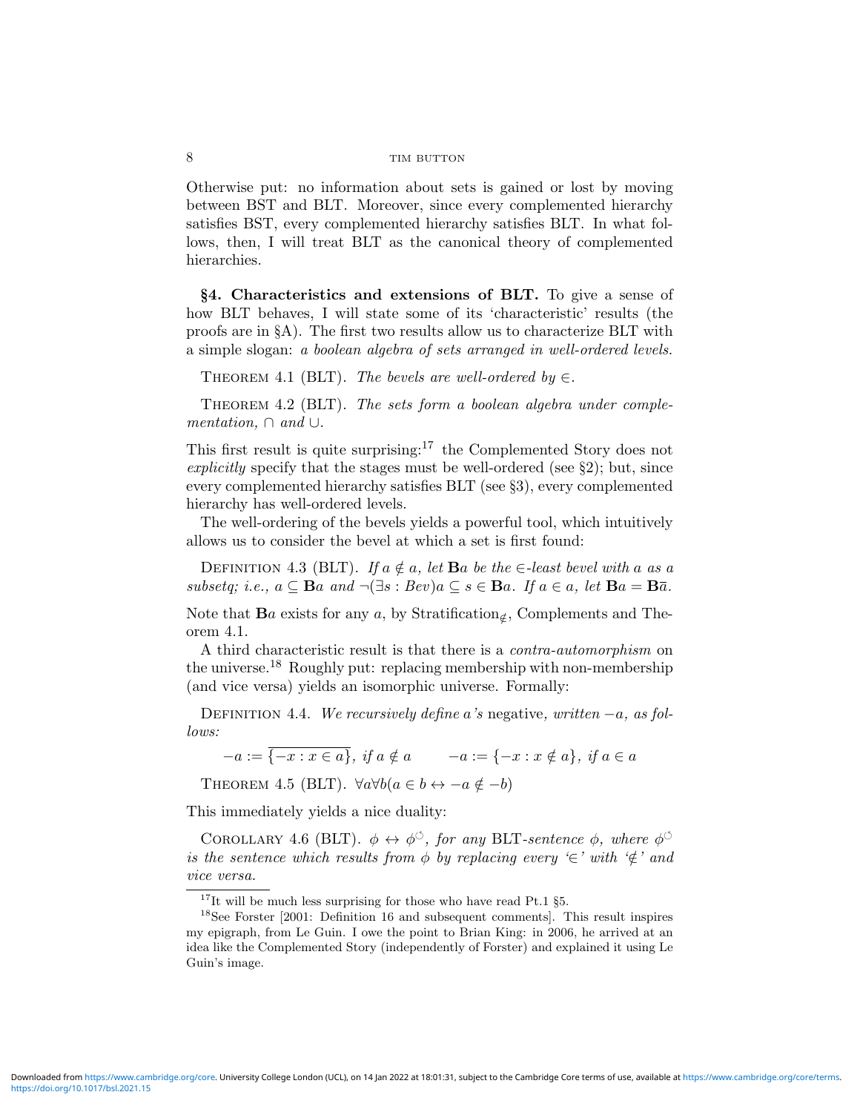Otherwise put: no information about sets is gained or lost by moving between BST and BLT. Moreover, since every complemented hierarchy satisfies BST, every complemented hierarchy satisfies BLT. In what follows, then, I will treat BLT as the canonical theory of complemented hierarchies.

§4. Characteristics and extensions of BLT. To give a sense of how BLT behaves, I will state some of its 'characteristic' results (the proofs are in §A). The first two results allow us to characterize BLT with a simple slogan: a boolean algebra of sets arranged in well-ordered levels.

THEOREM 4.1 (BLT). The bevels are well-ordered by  $\in$ .

THEOREM 4.2 (BLT). The sets form a boolean algebra under complementation,  $\cap$  and  $\cup$ .

This first result is quite surprising:<sup>17</sup> the Complemented Story does not explicitly specify that the stages must be well-ordered (see  $\S2$ ); but, since every complemented hierarchy satisfies BLT (see §3), every complemented hierarchy has well-ordered levels.

The well-ordering of the bevels yields a powerful tool, which intuitively allows us to consider the bevel at which a set is first found:

DEFINITION 4.3 (BLT). If  $a \notin a$ , let **B**a be the  $\in$ -least bevel with a as a subsetq; i.e.,  $a \subseteq \mathbf{B}a$  and  $\neg(\exists s : Bev)a \subseteq s \in \mathbf{B}a$ . If  $a \in a$ , let  $\mathbf{B}a = \mathbf{B}\overline{a}$ .

Note that  $\mathbf{B}a$  exists for any a, by Stratification<sub> $\notin$ </sub>, Complements and Theorem 4.1.

A third characteristic result is that there is a contra-automorphism on the universe.<sup>18</sup> Roughly put: replacing membership with non-membership (and vice versa) yields an isomorphic universe. Formally:

DEFINITION 4.4. We recursively define a's negative, written  $-a$ , as follows:

 $-a := \overline{\{-x : x \in a\}}, \text{ if } a \notin a \qquad -a := \{-x : x \notin a\}, \text{ if } a \in a$ 

THEOREM 4.5 (BLT).  $\forall a \forall b (a \in b \leftrightarrow -a \notin -b)$ 

This immediately yields a nice duality:

COROLLARY 4.6 (BLT).  $\phi \leftrightarrow \phi^{\circ}$ , for any BLT-sentence  $\phi$ , where  $\phi^{\circ}$ is the sentence which results from  $\phi$  by replacing every '∈' with ' $\notin$ ' and vice versa.

 $^{17}{\rm It}$  will be much less surprising for those who have read Pt.1 §5.

<sup>18</sup>See Forster [2001: Definition 16 and subsequent comments]. This result inspires my epigraph, from Le Guin. I owe the point to Brian King: in 2006, he arrived at an idea like the Complemented Story (independently of Forster) and explained it using Le Guin's image.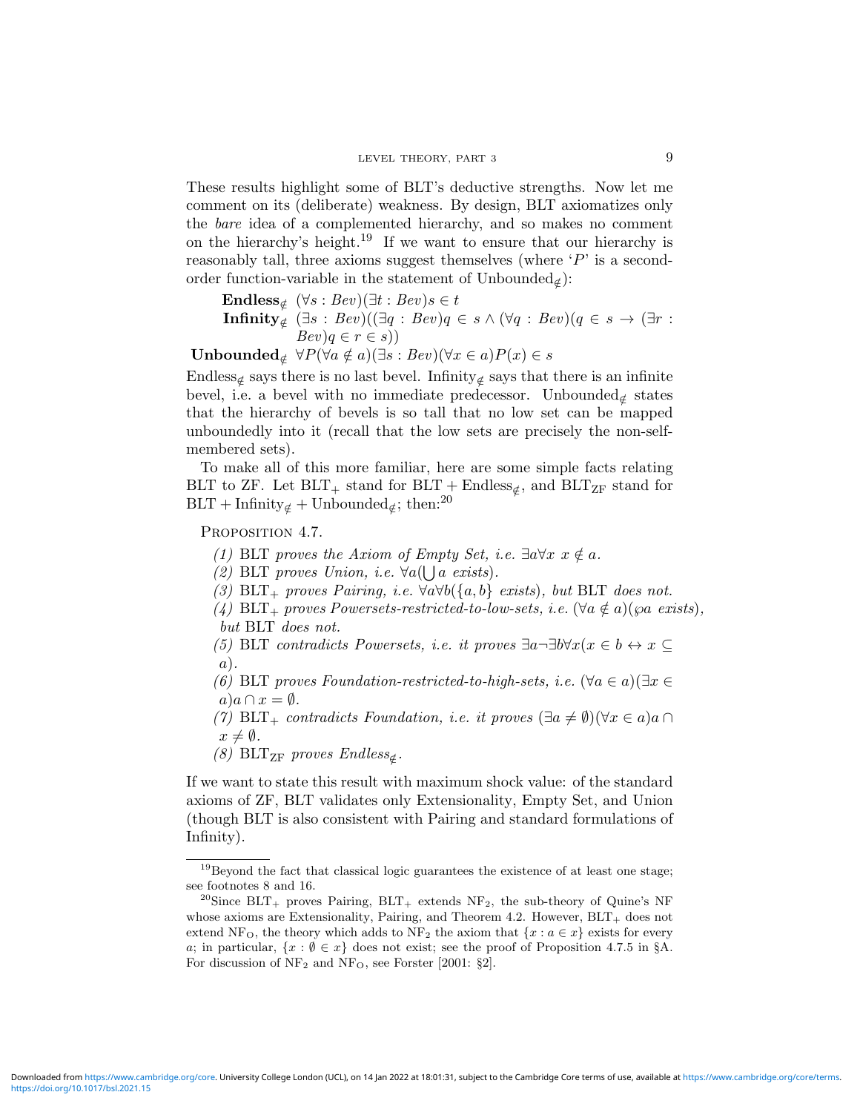These results highlight some of BLT's deductive strengths. Now let me comment on its (deliberate) weakness. By design, BLT axiomatizes only the bare idea of a complemented hierarchy, and so makes no comment on the hierarchy's height.<sup>19</sup> If we want to ensure that our hierarchy is reasonably tall, three axioms suggest themselves (where  $P'$  is a secondorder function-variable in the statement of Unbounded<sub>∉</sub>):

Endless<sub>$$
\notin
$$</sub>  $(\forall s : Bev)(\exists t : Bev)s \in t$   
Infinity <sub>$\notin$</sub>   $(\exists s : Bev)((\exists q : Bev)q \in s \land (\forall q : Bev)(q \in s \rightarrow (\exists r : Bev)q \in r \in s))$ 

Unbounded<sub>∉</sub>  $\forall P(\forall a \notin a)(\exists s : Bev)(\forall x \in a)P(x) \in s$ 

Endless<sub>∉</sub> says there is no last bevel. Infinity<sub>∉</sub> says that there is an infinite bevel, i.e. a bevel with no immediate predecessor. Unbounded<sub>∉</sub> states that the hierarchy of bevels is so tall that no low set can be mapped unboundedly into it (recall that the low sets are precisely the non-selfmembered sets).

To make all of this more familiar, here are some simple facts relating BLT to ZF. Let  $BLT_+$  stand for  $BLT +$  Endless<sub></sub> $\epsilon$ , and  $BLT_{ZF}$  stand for  $BLT + Infinity_{\notin} + Unbounded_{\notin}$ ; then:<sup>20</sup>

PROPOSITION 4.7.

(1) BLT proves the Axiom of Empty Set, i.e.  $\exists a \forall x \ x \notin a$ .

(2) BLT proves Union, i.e.  $\forall a(\bigcup a \text{ exists}).$ 

(3) BLT<sub>+</sub> proves Pairing, i.e.  $\forall a \forall b (\{a, b\} \text{ exists})$ , but BLT does not.

(4) BLT<sub>+</sub> proves Powersets-restricted-to-low-sets, i.e.  $(\forall a \notin a)(\wp a \text{ exists}),$ but BLT does not.

(5) BLT contradicts Powersets, i.e. it proves  $\exists a \neg \exists b \forall x (x \in b \leftrightarrow x \subseteq$ a).

(6) BLT proves Foundation-restricted-to-high-sets, i.e.  $(\forall a \in a)(\exists x \in \mathbb{R})$  $a)a \cap x = \emptyset$ .

(7) BLT<sub>+</sub> contradicts Foundation, i.e. it proves  $(\exists a \neq \emptyset)(\forall x \in a)a \cap$  $x \neq \emptyset$ .

(8) BLT<sub>ZF</sub> proves  $Endless_{\notin}$ .

If we want to state this result with maximum shock value: of the standard axioms of ZF, BLT validates only Extensionality, Empty Set, and Union (though BLT is also consistent with Pairing and standard formulations of Infinity).

<sup>&</sup>lt;sup>19</sup>Beyond the fact that classical logic guarantees the existence of at least one stage; see footnotes 8 and 16.

<sup>&</sup>lt;sup>20</sup>Since  $BLT_+$  proves Pairing,  $BLT_+$  extends  $NF_2$ , the sub-theory of Quine's NF whose axioms are Extensionality, Pairing, and Theorem 4.2. However,  $BLT_+$  does not extend NF<sub>O</sub>, the theory which adds to NF<sub>2</sub> the axiom that  $\{x : a \in x\}$  exists for every a; in particular,  $\{x : \emptyset \in \mathcal{X}\}$  does not exist; see the proof of Proposition 4.7.5 in §A. For discussion of  $NF_2$  and  $NF_O$ , see Forster [2001: §2].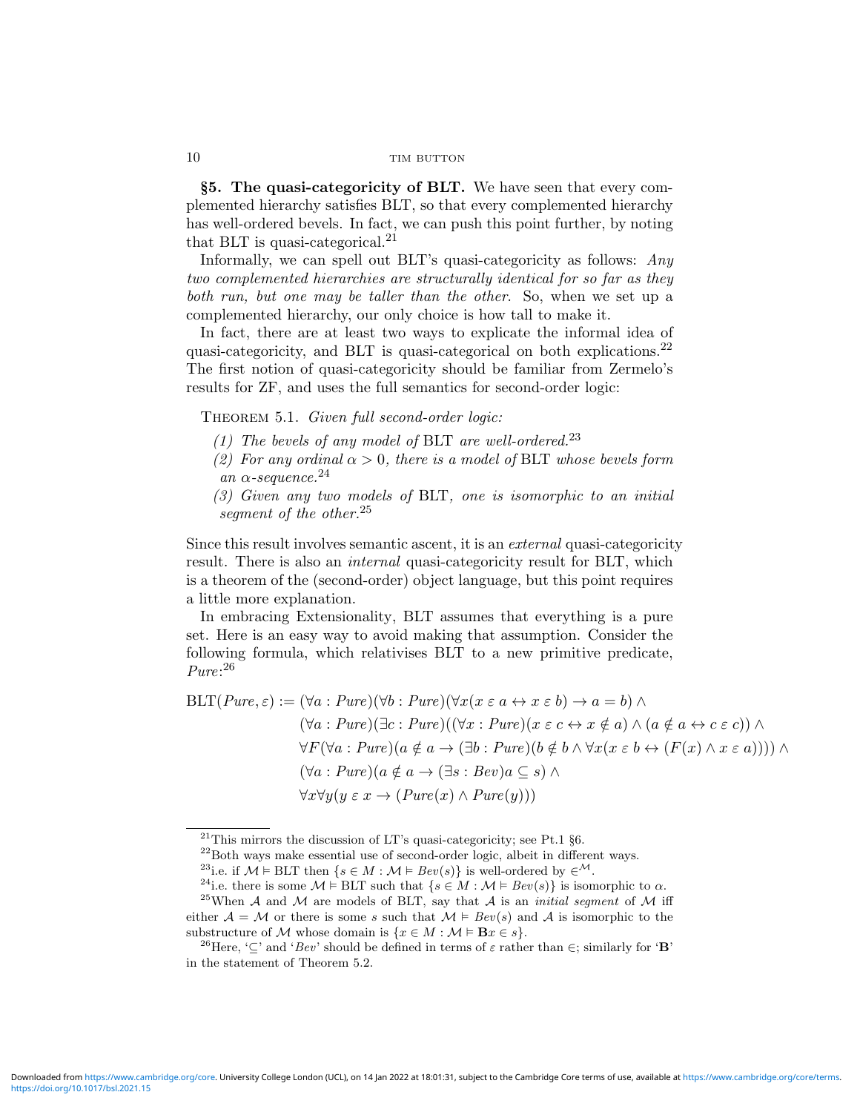§5. The quasi-categoricity of BLT. We have seen that every complemented hierarchy satisfies BLT, so that every complemented hierarchy has well-ordered bevels. In fact, we can push this point further, by noting that BLT is quasi-categorical.<sup>21</sup>

Informally, we can spell out BLT's quasi-categoricity as follows: Any two complemented hierarchies are structurally identical for so far as they both run, but one may be taller than the other. So, when we set up a complemented hierarchy, our only choice is how tall to make it.

In fact, there are at least two ways to explicate the informal idea of quasi-categoricity, and BLT is quasi-categorical on both explications.<sup>22</sup> The first notion of quasi-categoricity should be familiar from Zermelo's results for ZF, and uses the full semantics for second-order logic:

THEOREM 5.1. Given full second-order logic:

- (1) The bevels of any model of BLT are well-ordered.<sup>23</sup>
- (2) For any ordinal  $\alpha > 0$ , there is a model of BLT whose bevels form an  $\alpha$ -sequence.<sup>24</sup>
- (3) Given any two models of BLT, one is isomorphic to an initial segment of the other.<sup>25</sup>

Since this result involves semantic ascent, it is an external quasi-categoricity result. There is also an *internal* quasi-categoricity result for BLT, which is a theorem of the (second-order) object language, but this point requires a little more explanation.

In embracing Extensionality, BLT assumes that everything is a pure set. Here is an easy way to avoid making that assumption. Consider the following formula, which relativises BLT to a new primitive predicate, Pure: 26

$$
\text{BLT}(Pure, \varepsilon) := (\forall a : Pure)(\forall b : Pure)(\forall x (x \varepsilon a \leftrightarrow x \varepsilon b) \to a = b) \land
$$
  

$$
(\forall a : Pure)(\exists c : Pure)((\forall x : Pure)(x \varepsilon c \leftrightarrow x \notin a) \land (a \notin a \leftrightarrow c \varepsilon c)) \land
$$
  

$$
\forall F (\forall a : Pure)(a \notin a \to (\exists b : Pure)(b \notin b \land \forall x (x \varepsilon b \leftrightarrow (F(x) \land x \varepsilon a)))) \land
$$
  

$$
(\forall a : Pure)(a \notin a \to (\exists s : Bev)a \subseteq s) \land
$$
  

$$
\forall x \forall y (y \varepsilon x \to (Pure(x) \land Pure(y)))
$$

<sup>&</sup>lt;sup>21</sup>This mirrors the discussion of LT's quasi-categoricity; see Pt.1  $\S6$ .

<sup>22</sup>Both ways make essential use of second-order logic, albeit in different ways.

<sup>&</sup>lt;sup>23</sup>i.e. if  $\mathcal{M} \models$  BLT then  $\{s \in M : \mathcal{M} \models \text{Bev}(s)\}\$ is well-ordered by  $\in \mathcal{M}$ .

<sup>&</sup>lt;sup>24</sup>i.e. there is some  $\mathcal{M} \models \text{BLT}$  such that  $\{s \in M : \mathcal{M} \models \text{Bev}(s)\}\$ is isomorphic to  $\alpha$ .

<sup>&</sup>lt;sup>25</sup>When A and M are models of BLT, say that A is an *initial segment* of M iff either  $A = M$  or there is some s such that  $M \models Bev(s)$  and A is isomorphic to the substructure of M whose domain is  $\{x \in M : \mathcal{M} \models \mathbf{B}x \in s\}.$ 

<sup>&</sup>lt;sup>26</sup>Here, ' $\subseteq$ ' and '*Bev*' should be defined in terms of  $\varepsilon$  rather than  $\in$ ; similarly for '**B**' in the statement of Theorem 5.2.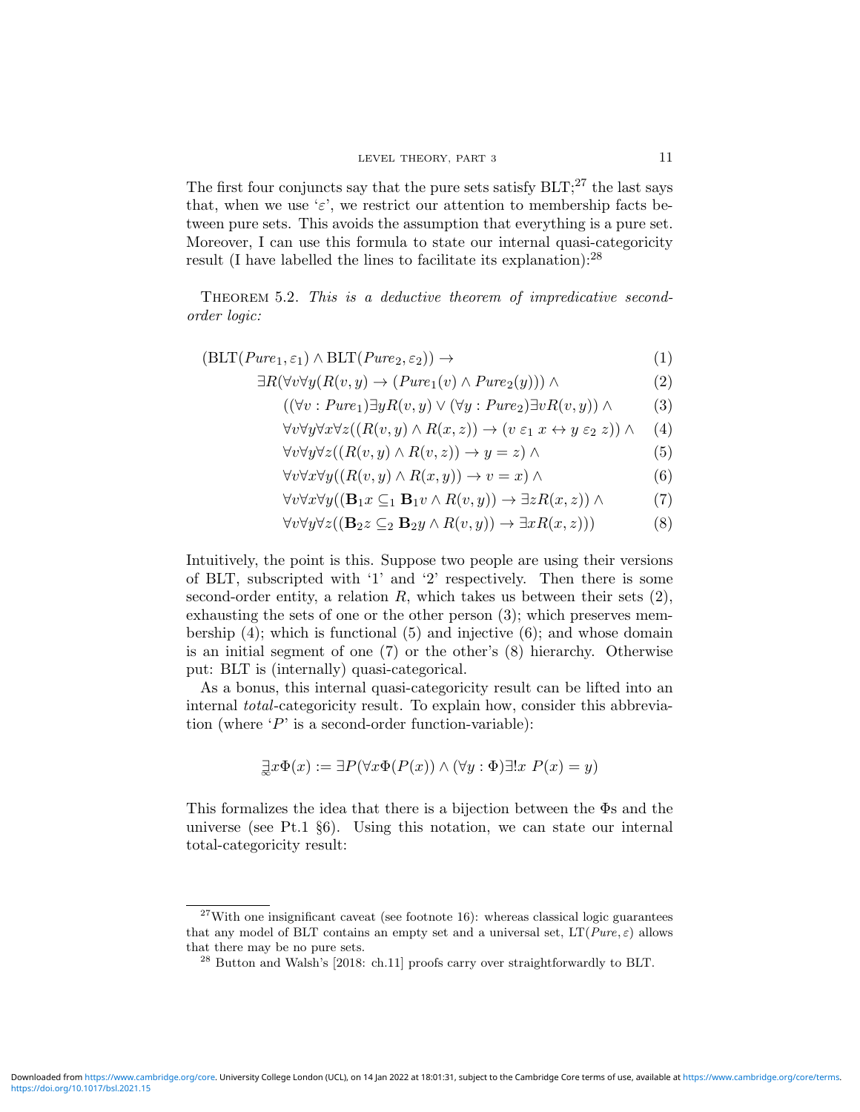The first four conjuncts say that the pure sets satisfy  $BLT$ ;<sup>27</sup> the last says that, when we use ' $\varepsilon$ ', we restrict our attention to membership facts between pure sets. This avoids the assumption that everything is a pure set. Moreover, I can use this formula to state our internal quasi-categoricity result (I have labelled the lines to facilitate its explanation):  $28$ 

THEOREM 5.2. This is a deductive theorem of impredicative secondorder logic:

 $(BLT(Pure_1, \varepsilon_1) \wedge BLT(Pure_2, \varepsilon_2)) \rightarrow$  (1)

$$
\exists R(\forall v \forall y (R(v, y) \to (Pure_1(v) \land Pure_2(y))) \land \tag{2}
$$

$$
((\forall v : Pure_1) \exists y R(v, y) \lor (\forall y : Pure_2) \exists v R(v, y)) \land \tag{3}
$$

$$
\forall v \forall y \forall x \forall z ((R(v, y) \land R(x, z)) \rightarrow (v \varepsilon_1 x \leftrightarrow y \varepsilon_2 z)) \land (4)
$$

$$
\forall v \forall y \forall z ((R(v, y) \land R(v, z)) \to y = z) \land \tag{5}
$$

$$
\forall v \forall x \forall y ((R(v, y) \land R(x, y)) \to v = x) \land \tag{6}
$$

$$
\forall v \forall x \forall y ((\mathbf{B}_1 x \subseteq_1 \mathbf{B}_1 v \land R(v, y)) \to \exists z R(x, z)) \land \tag{7}
$$

$$
\forall v \forall y \forall z ((\mathbf{B}_2 z \subseteq_2 \mathbf{B}_2 y \land R(v, y)) \to \exists x R(x, z)))
$$
 (8)

Intuitively, the point is this. Suppose two people are using their versions of BLT, subscripted with '1' and '2' respectively. Then there is some second-order entity, a relation  $R$ , which takes us between their sets  $(2)$ , exhausting the sets of one or the other person (3); which preserves membership (4); which is functional (5) and injective (6); and whose domain is an initial segment of one (7) or the other's (8) hierarchy. Otherwise put: BLT is (internally) quasi-categorical.

As a bonus, this internal quasi-categoricity result can be lifted into an internal total-categoricity result. To explain how, consider this abbreviation (where  $P'$  is a second-order function-variable):

$$
\exists x \Phi(x) := \exists P(\forall x \Phi(P(x)) \land (\forall y : \Phi) \exists! x \ P(x) = y)
$$

This formalizes the idea that there is a bijection between the Φs and the universe (see Pt.1 §6). Using this notation, we can state our internal total-categoricity result:

 $27$ With one insignificant caveat (see footnote 16): whereas classical logic guarantees that any model of BLT contains an empty set and a universal set,  $LT(Pure, \varepsilon)$  allows that there may be no pure sets.

<sup>28</sup> Button and Walsh's [2018: ch.11] proofs carry over straightforwardly to BLT.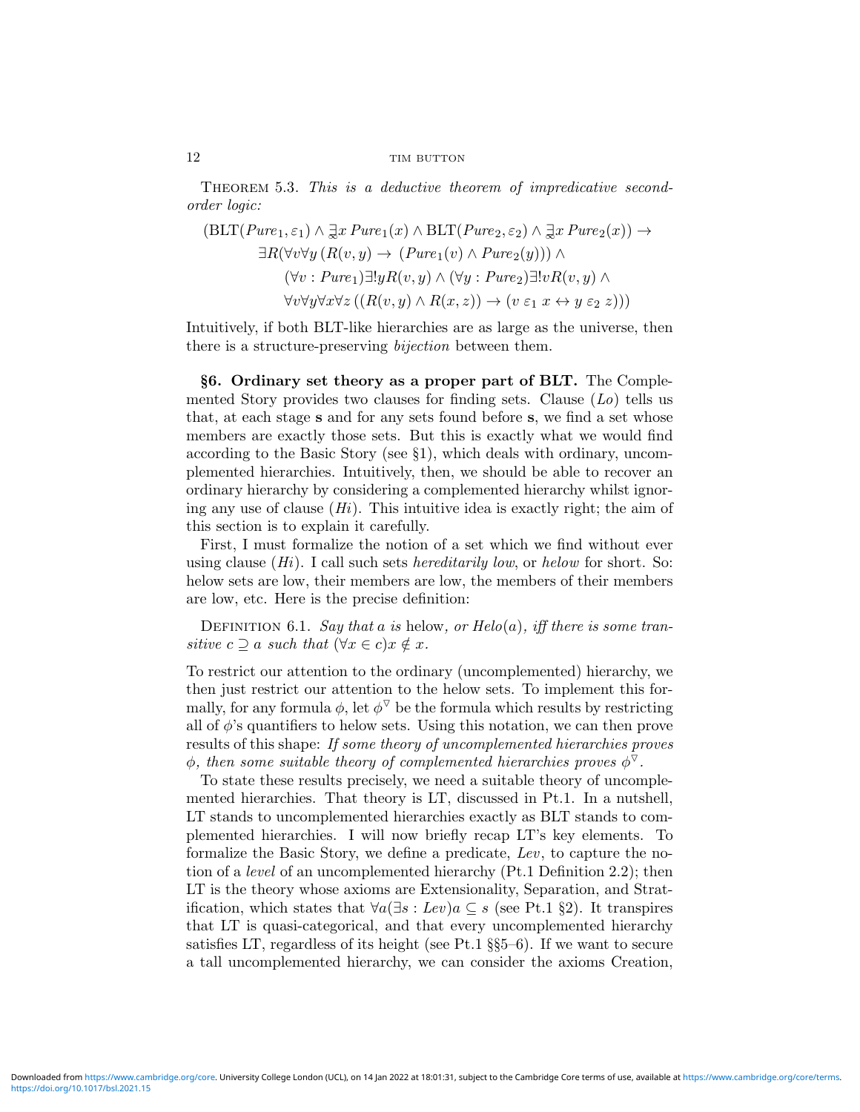Theorem 5.3. This is a deductive theorem of impredicative secondorder logic:

$$
\begin{aligned} \left(\text{BLT}(Pure_1, \varepsilon_1) \land \exists x \, Pure_1(x) \land \text{BLT}(Pure_2, \varepsilon_2) \land \exists x \, Pure_2(x) \right) \rightarrow \\ \exists R(\forall v \forall y \, (R(v, y) \rightarrow (Pure_1(v) \land Pure_2(y))) \land \\ (\forall v: Pure_1) \exists! y R(v, y) \land (\forall y: Pure_2) \exists! v R(v, y) \land \\ \forall v \forall y \forall x \forall z \, ((R(v, y) \land R(x, z)) \rightarrow (v \, \varepsilon_1 \, x \leftrightarrow y \, \varepsilon_2 \, z))) \end{aligned}
$$

Intuitively, if both BLT-like hierarchies are as large as the universe, then there is a structure-preserving bijection between them.

§6. Ordinary set theory as a proper part of BLT. The Complemented Story provides two clauses for finding sets. Clause  $(L_0)$  tells us that, at each stage s and for any sets found before s, we find a set whose members are exactly those sets. But this is exactly what we would find according to the Basic Story (see §1), which deals with ordinary, uncomplemented hierarchies. Intuitively, then, we should be able to recover an ordinary hierarchy by considering a complemented hierarchy whilst ignoring any use of clause  $(H_i)$ . This intuitive idea is exactly right; the aim of this section is to explain it carefully.

First, I must formalize the notion of a set which we find without ever using clause  $(H_i)$ . I call such sets *hereditarily low*, or *helow* for short. So: helow sets are low, their members are low, the members of their members are low, etc. Here is the precise definition:

DEFINITION 6.1. Say that a is helow, or  $Helo(a)$ , iff there is some transitive  $c \supseteq a$  such that  $(\forall x \in c) x \notin x$ .

To restrict our attention to the ordinary (uncomplemented) hierarchy, we then just restrict our attention to the helow sets. To implement this formally, for any formula  $\phi$ , let  $\phi^{\nabla}$  be the formula which results by restricting all of  $\phi$ 's quantifiers to helow sets. Using this notation, we can then prove results of this shape: If some theory of uncomplemented hierarchies proves  $\phi$ , then some suitable theory of complemented hierarchies proves  $\phi^{\nabla}$ .

To state these results precisely, we need a suitable theory of uncomplemented hierarchies. That theory is LT, discussed in Pt.1. In a nutshell, LT stands to uncomplemented hierarchies exactly as BLT stands to complemented hierarchies. I will now briefly recap LT's key elements. To formalize the Basic Story, we define a predicate, Lev, to capture the notion of a level of an uncomplemented hierarchy (Pt.1 Definition 2.2); then LT is the theory whose axioms are Extensionality, Separation, and Stratification, which states that  $\forall a(\exists s : Lev)a \subseteq s$  (see Pt.1 §2). It transpires that LT is quasi-categorical, and that every uncomplemented hierarchy satisfies LT, regardless of its height (see Pt.1 §§5–6). If we want to secure a tall uncomplemented hierarchy, we can consider the axioms Creation,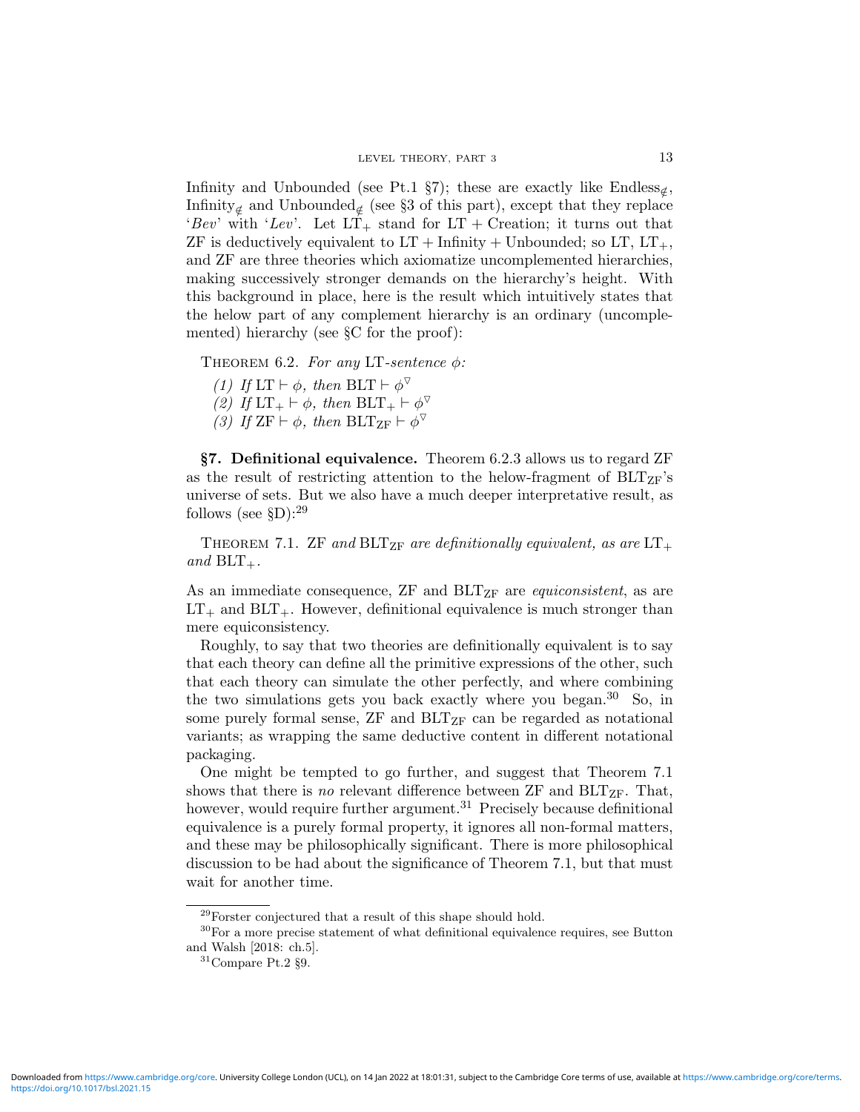Infinity and Unbounded (see Pt.1 §7); these are exactly like Endless<sub> $\notin$ </sub>, Infinity<sub>∉</sub> and Unbounded<sub>∉</sub> (see §3 of this part), except that they replace 'Bev' with 'Lev'. Let  $LT_+$  stand for  $LT$  + Creation; it turns out that ZF is deductively equivalent to  $LT +$  Infinity + Unbounded; so  $LT$ ,  $LT_{+}$ , and ZF are three theories which axiomatize uncomplemented hierarchies, making successively stronger demands on the hierarchy's height. With this background in place, here is the result which intuitively states that the helow part of any complement hierarchy is an ordinary (uncomplemented) hierarchy (see §C for the proof):

THEOREM 6.2. For any LT-sentence  $\phi$ :

(1) If  $LT \vdash \phi$ , then  $BLT \vdash \phi^{\triangledown}$ 

(2) If  $LT_+ \vdash \phi$ , then  $BLT_+ \vdash \phi^{\triangledown}$ 

(3) If  $\text{ZF} \vdash \phi$ , then  $\text{BLT}_{\text{ZF}} \vdash \phi^{\triangledown}$ 

§7. Definitional equivalence. Theorem 6.2.3 allows us to regard ZF as the result of restricting attention to the helow-fragment of  $BLT_{ZF}$ 's universe of sets. But we also have a much deeper interpretative result, as follows (see  $$D$ ):<sup>29</sup>

THEOREM 7.1. ZF and BLT<sub>ZF</sub> are definitionally equivalent, as are  $LT_{+}$ and  $BLT_{+}$ .

As an immediate consequence,  $ZF$  and  $BLT_{ZF}$  are *equiconsistent*, as are  $LT_+$  and  $BLT_+$ . However, definitional equivalence is much stronger than mere equiconsistency.

Roughly, to say that two theories are definitionally equivalent is to say that each theory can define all the primitive expressions of the other, such that each theory can simulate the other perfectly, and where combining the two simulations gets you back exactly where you began.<sup>30</sup> So, in some purely formal sense,  $ZF$  and  $BLT_{ZF}$  can be regarded as notational variants; as wrapping the same deductive content in different notational packaging.

One might be tempted to go further, and suggest that Theorem 7.1 shows that there is no relevant difference between  $ZF$  and  $BLT_{ZF}$ . That, however, would require further argument.<sup>31</sup> Precisely because definitional equivalence is a purely formal property, it ignores all non-formal matters, and these may be philosophically significant. There is more philosophical discussion to be had about the significance of Theorem 7.1, but that must wait for another time.

 $29$ Forster conjectured that a result of this shape should hold.

 $^{30}\rm{For}$  a more precise statement of what definitional equivalence requires, see Button and Walsh [2018: ch.5].

 $^{31}\mathrm{Compare}$  Pt.2  $\S 9.$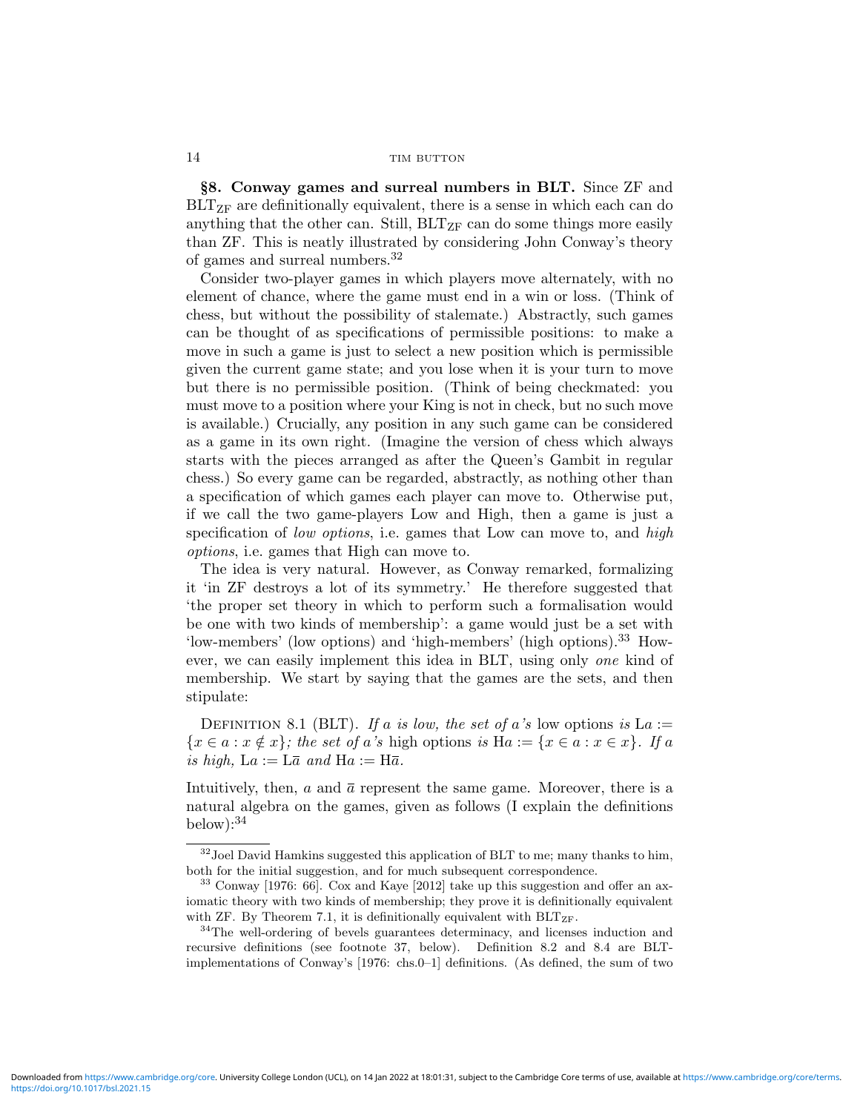§8. Conway games and surreal numbers in BLT. Since ZF and BLT<sub>ZF</sub> are definitionally equivalent, there is a sense in which each can do anything that the other can. Still,  $BLT_{ZF}$  can do some things more easily than ZF. This is neatly illustrated by considering John Conway's theory of games and surreal numbers.<sup>32</sup>

Consider two-player games in which players move alternately, with no element of chance, where the game must end in a win or loss. (Think of chess, but without the possibility of stalemate.) Abstractly, such games can be thought of as specifications of permissible positions: to make a move in such a game is just to select a new position which is permissible given the current game state; and you lose when it is your turn to move but there is no permissible position. (Think of being checkmated: you must move to a position where your King is not in check, but no such move is available.) Crucially, any position in any such game can be considered as a game in its own right. (Imagine the version of chess which always starts with the pieces arranged as after the Queen's Gambit in regular chess.) So every game can be regarded, abstractly, as nothing other than a specification of which games each player can move to. Otherwise put, if we call the two game-players Low and High, then a game is just a specification of low options, i.e. games that Low can move to, and high options, i.e. games that High can move to.

The idea is very natural. However, as Conway remarked, formalizing it 'in ZF destroys a lot of its symmetry.' He therefore suggested that 'the proper set theory in which to perform such a formalisation would be one with two kinds of membership': a game would just be a set with 'low-members' (low options) and 'high-members' (high options).<sup>33</sup> However, we can easily implement this idea in BLT, using only one kind of membership. We start by saying that the games are the sets, and then stipulate:

DEFINITION 8.1 (BLT). If a is low, the set of a's low options is  $La :=$  ${x \in a : x \notin x}$ ; the set of a's high options is  $Ha := {x \in a : x \in x}$ . If a is high,  $La := L\bar{a}$  and  $Ha := H\bar{a}$ .

Intuitively, then,  $a$  and  $\bar{a}$  represent the same game. Moreover, there is a natural algebra on the games, given as follows (I explain the definitions below):  $34$ 

 $32$  Joel David Hamkins suggested this application of BLT to me; many thanks to him, both for the initial suggestion, and for much subsequent correspondence.

<sup>33</sup> Conway [1976: 66]. Cox and Kaye [2012] take up this suggestion and offer an axiomatic theory with two kinds of membership; they prove it is definitionally equivalent with ZF. By Theorem 7.1, it is definitionally equivalent with  $BLT_{ZF}$ .

 $34$ The well-ordering of bevels guarantees determinacy, and licenses induction and recursive definitions (see footnote 37, below). Definition 8.2 and 8.4 are BLTimplementations of Conway's [1976: chs.0–1] definitions. (As defined, the sum of two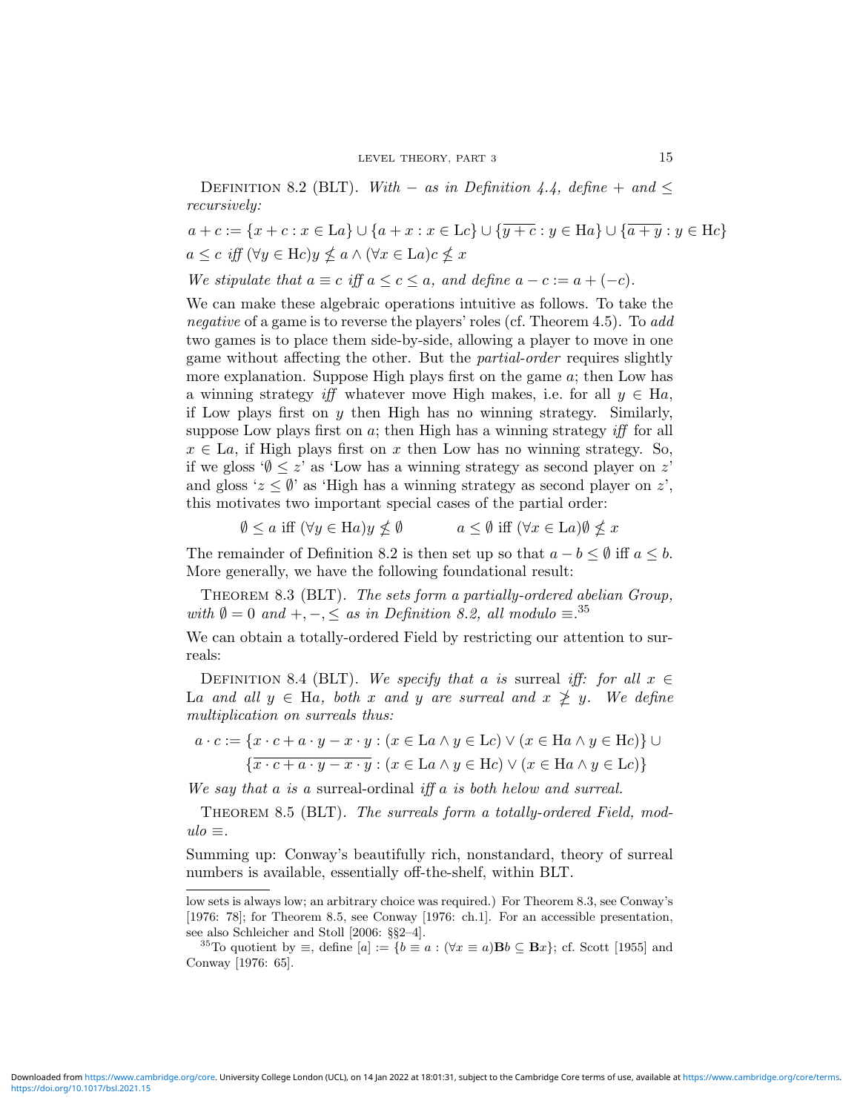DEFINITION 8.2 (BLT). With – as in Definition 4.4, define + and  $\leq$ recursively:

$$
a + c := \{x + c : x \in La\} \cup \{a + x : x \in Lc\} \cup \{\overline{y + c} : y \in Ha\} \cup \{\overline{a + y} : y \in He\}
$$
  

$$
a \le c \text{ iff } (\forall y \in He)y \nleq a \land (\forall x \in La)c \nleq x
$$

We stipulate that 
$$
a \equiv c
$$
 iff  $a \leq c \leq a$ , and define  $a - c := a + (-c)$ .

We can make these algebraic operations intuitive as follows. To take the negative of a game is to reverse the players' roles (cf. Theorem 4.5). To add two games is to place them side-by-side, allowing a player to move in one game without affecting the other. But the partial-order requires slightly more explanation. Suppose High plays first on the game a; then Low has a winning strategy iff whatever move High makes, i.e. for all  $y \in Ha$ , if Low plays first on  $y$  then High has no winning strategy. Similarly, suppose Low plays first on  $a$ ; then High has a winning strategy iff for all  $x \in La$ , if High plays first on x then Low has no winning strategy. So, if we gloss ' $\emptyset \leq z$ ' as 'Low has a winning strategy as second player on z' and gloss ' $z \leq \emptyset$ ' as 'High has a winning strategy as second player on z', this motivates two important special cases of the partial order:

 $\emptyset \leq a$  iff  $(\forall y \in \text{Ha})y \nleq \emptyset$   $a \leq \emptyset$  iff  $(\forall x \in \text{La})\emptyset \nleq x$ 

The remainder of Definition 8.2 is then set up so that  $a - b \leq \emptyset$  iff  $a \leq b$ . More generally, we have the following foundational result:

THEOREM 8.3 (BLT). The sets form a partially-ordered abelian Group, with  $\emptyset = 0$  and  $+, -, \leq$  as in Definition 8.2, all modulo  $\equiv .^{35}$ 

We can obtain a totally-ordered Field by restricting our attention to surreals:

DEFINITION 8.4 (BLT). We specify that a is surreal iff: for all  $x \in$ La and all  $y \in Ha$ , both x and y are surreal and  $x \not\geq y$ . We define multiplication on surreals thus:

$$
a \cdot c := \{x \cdot c + a \cdot y - x \cdot y : (x \in La \land y \in Le) \lor (x \in Ha \land y \in He)\} \cup \{\overline{x \cdot c + a \cdot y - x \cdot y} : (x \in La \land y \in He) \lor (x \in Ha \land y \in Le)\}\
$$

We say that a is a surreal-ordinal iff a is both helow and surreal.

THEOREM 8.5 (BLT). The surreals form a totally-ordered Field, mod $ulo \equiv$ .

Summing up: Conway's beautifully rich, nonstandard, theory of surreal numbers is available, essentially off-the-shelf, within BLT.

<https://doi.org/10.1017/bsl.2021.15> Downloaded from<https://www.cambridge.org/core>. University College London (UCL), on 14 Jan 2022 at 18:01:31, subject to the Cambridge Core terms of use, available at [https://www.cambridge.org/core/terms.](https://www.cambridge.org/core/terms)

low sets is always low; an arbitrary choice was required.) For Theorem 8.3, see Conway's [1976: 78]; for Theorem 8.5, see Conway [1976: ch.1]. For an accessible presentation, see also Schleicher and Stoll [2006: §§2–4].

<sup>&</sup>lt;sup>35</sup>To quotient by  $\equiv$ , define  $[a] := \{b \equiv a : (\forall x \equiv a) \mathbf{B}b \subseteq \mathbf{B}x\};$  cf. Scott [1955] and Conway [1976: 65].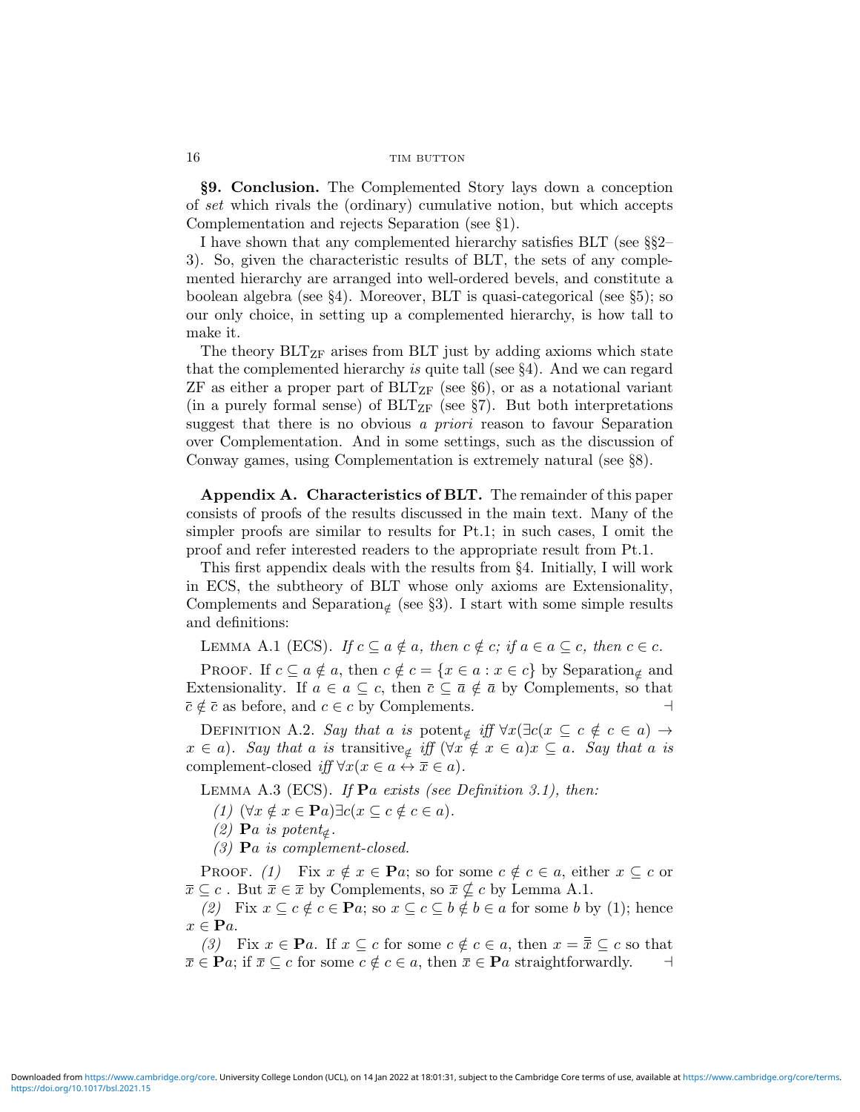§9. Conclusion. The Complemented Story lays down a conception of set which rivals the (ordinary) cumulative notion, but which accepts Complementation and rejects Separation (see §1).

I have shown that any complemented hierarchy satisfies BLT (see §§2– 3). So, given the characteristic results of BLT, the sets of any complemented hierarchy are arranged into well-ordered bevels, and constitute a boolean algebra (see §4). Moreover, BLT is quasi-categorical (see §5); so our only choice, in setting up a complemented hierarchy, is how tall to make it.

The theory  $BLT_{ZF}$  arises from BLT just by adding axioms which state that the complemented hierarchy is quite tall (see §4). And we can regard  $ZF$  as either a proper part of  $BLT_{ZF}$  (see §6), or as a notational variant (in a purely formal sense) of  $BLT_{ZF}$  (see §7). But both interpretations suggest that there is no obvious a *priori* reason to favour Separation over Complementation. And in some settings, such as the discussion of Conway games, using Complementation is extremely natural (see §8).

Appendix A. Characteristics of BLT. The remainder of this paper consists of proofs of the results discussed in the main text. Many of the simpler proofs are similar to results for Pt.1; in such cases, I omit the proof and refer interested readers to the appropriate result from Pt.1.

This first appendix deals with the results from §4. Initially, I will work in ECS, the subtheory of BLT whose only axioms are Extensionality, Complements and Separation<sub>∉</sub> (see §3). I start with some simple results and definitions:

LEMMA A.1 (ECS). If  $c \subseteq a \notin a$ , then  $c \notin c$ ; if  $a \in a \subseteq c$ , then  $c \in c$ .

PROOF. If  $c \subseteq a \notin a$ , then  $c \notin c = \{x \in a : x \in c\}$  by Separation<sub>∉</sub> and Extensionality. If  $a \in a \subseteq c$ , then  $\overline{c} \subseteq \overline{a} \notin \overline{a}$  by Complements, so that  $\overline{c} \notin \overline{c}$  as before, and  $c \in c$  by Complements.

DEFINITION A.2. Say that a is potent<sub>∉</sub> iff  $\forall x(\exists c(x \subseteq c \notin c \in a) \rightarrow a)$  $x \in a$ ). Say that a is transitive<sub> $\notin$ </sub> iff  $(\forall x \notin x \in a)x \subseteq a$ . Say that a is complement-closed iff  $\forall x(x \in a \leftrightarrow \overline{x} \in a)$ .

LEMMA A.3 (ECS). If  $\mathbf{P}a$  exists (see Definition 3.1), then:

(1)  $(\forall x \notin x \in \mathbf{P}a) \exists c (x \subseteq c \notin c \in a).$ 

(2) **P**a is potent<sub>∉</sub>.

(3) Pa is complement-closed.

PROOF. (1) Fix  $x \notin x \in \mathbf{P}a$ ; so for some  $c \notin c \in a$ , either  $x \subseteq c$  or  $\overline{x} \subseteq c$ . But  $\overline{x} \in \overline{x}$  by Complements, so  $\overline{x} \nsubseteq c$  by Lemma A.1.

(2) Fix  $x \subseteq c \notin c \in \mathbf{P}a$ ; so  $x \subseteq c \subseteq b \notin b \in a$  for some b by (1); hence  $x \in \mathbf{P}a$ .

(3) Fix  $x \in \mathbf{P}a$ . If  $x \subseteq c$  for some  $c \notin c \in a$ , then  $x = \overline{\overline{x}} \subseteq c$  so that  $\overline{x} \in \mathbf{P}a$ ; if  $\overline{x} \subseteq c$  for some  $c \notin c \in a$ , then  $\overline{x} \in \mathbf{P}a$  straightforwardly.  $\Box$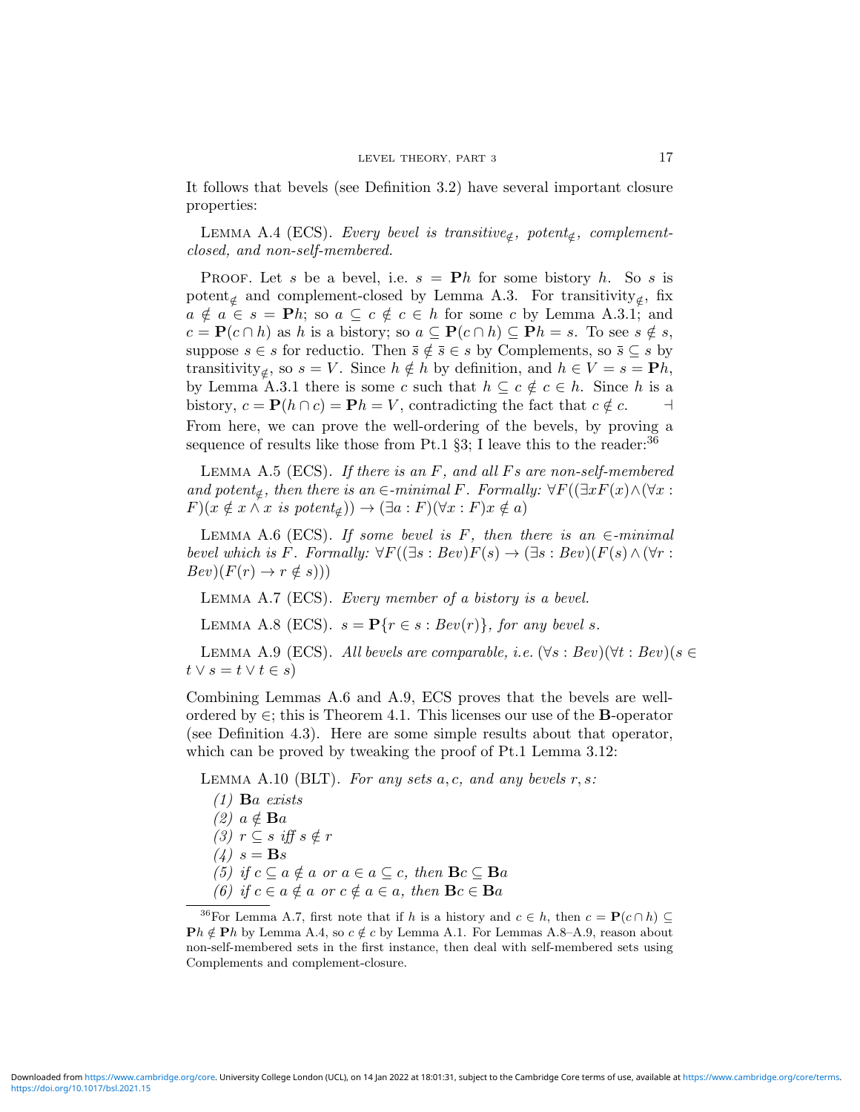It follows that bevels (see Definition 3.2) have several important closure properties:

LEMMA A.4 (ECS). Every bevel is transitive<sub> $notin$ </sub>, potent<sub> $notin$ </sub>, complementclosed, and non-self-membered.

**PROOF.** Let s be a bevel, i.e.  $s = Ph$  for some bistory h. So s is potent<sub>∉</sub> and complement-closed by Lemma A.3. For transitivity<sub>∉</sub>, fix  $a \notin a \in s = \mathbf{P}h$ ; so  $a \subseteq c \notin c \in h$  for some c by Lemma A.3.1; and  $c = \mathbf{P}(c \cap h)$  as h is a bistory; so  $a \subseteq \mathbf{P}(c \cap h) \subseteq \mathbf{P}h = s$ . To see  $s \notin s$ , suppose  $s \in s$  for reductio. Then  $\overline{s} \notin \overline{s} \in s$  by Complements, so  $\overline{s} \subseteq s$  by transitivity<sub>∉</sub>, so  $s = V$ . Since  $h \notin h$  by definition, and  $h \in V = s = Ph$ , by Lemma A.3.1 there is some c such that  $h \subseteq c \notin c \in h$ . Since h is a bistory,  $c = \mathbf{P}(h \cap c) = \mathbf{P}h = V$ , contradicting the fact that  $c \notin c$ . From here, we can prove the well-ordering of the bevels, by proving a sequence of results like those from Pt.1  $\S3$ ; I leave this to the reader:  $36$ 

LEMMA A.5 (ECS). If there is an  $F$ , and all  $Fs$  are non-self-membered and potent<sub>∉</sub>, then there is an  $\in$ -minimal F. Formally:  $\forall F((\exists x F(x) \land (\forall x :$  $F(x \notin x \land x \text{ is } potent_{\notin}) \to (\exists a : F)(\forall x : F)x \notin a)$ 

LEMMA A.6 (ECS). If some bevel is F, then there is an  $\in$ -minimal bevel which is F. Formally:  $\forall F((\exists s : Bev)F(s) \rightarrow (\exists s : Bev)(F(s) \wedge (\forall r :$  $Bev)(F(r) \rightarrow r \notin s))$ 

Lemma A.7 (ECS). Every member of a bistory is a bevel.

LEMMA A.8 (ECS).  $s = \mathbf{P}\{r \in s : Bev(r)\}\text{, for any level } s\text{.}$ 

LEMMA A.9 (ECS). All bevels are comparable, i.e.  $(\forall s : Bev)(\forall t : Bev)(s \in$  $t \vee s = t \vee t \in s$ 

Combining Lemmas A.6 and A.9, ECS proves that the bevels are wellordered by  $\in$ ; this is Theorem 4.1. This licenses our use of the **B**-operator (see Definition 4.3). Here are some simple results about that operator, which can be proved by tweaking the proof of Pt.1 Lemma 3.12:

LEMMA A.10 (BLT). For any sets  $a, c$ , and any bevels  $r, s$ :

- $(1)$  **B**a exists
- $(2)$   $a \notin$  **B**a
- (3)  $r \subseteq s$  iff  $s \notin r$
- $(4)$   $s = \mathbf{B}s$
- (5) if  $c \subseteq a \notin a$  or  $a \in a \subseteq c$ , then  $\mathbf{B}c \subseteq \mathbf{B}a$
- (6) if  $c \in a \notin a$  or  $c \notin a \in a$ , then  $\mathbf{B}c \in \mathbf{B}a$

<sup>&</sup>lt;sup>36</sup>For Lemma A.7, first note that if h is a history and  $c \in h$ , then  $c = \mathbf{P}(c \cap h) \subseteq$  $\mathbf{P}h \notin \mathbf{P}h$  by Lemma A.4, so  $c \notin c$  by Lemma A.1. For Lemmas A.8–A.9, reason about non-self-membered sets in the first instance, then deal with self-membered sets using Complements and complement-closure.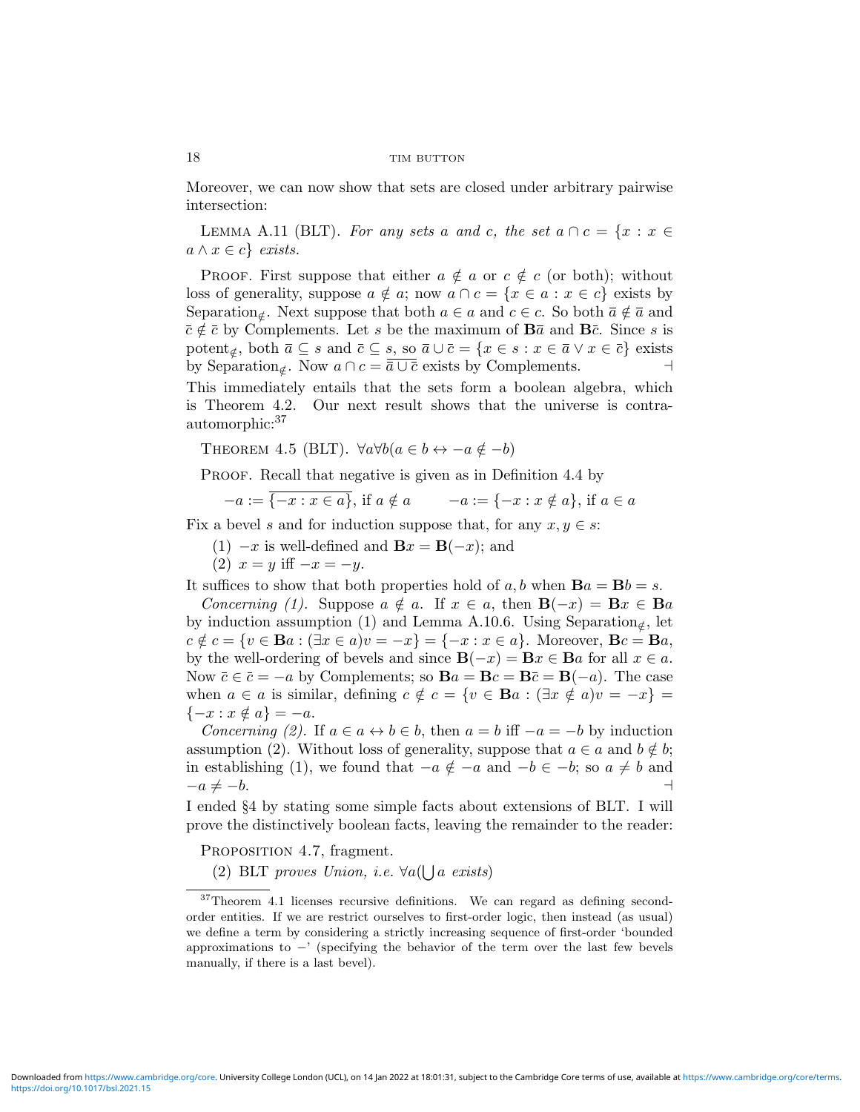Moreover, we can now show that sets are closed under arbitrary pairwise intersection:

LEMMA A.11 (BLT). For any sets a and c, the set  $a \cap c = \{x : x \in$  $a \wedge x \in c$  exists.

PROOF. First suppose that either  $a \notin a$  or  $c \notin c$  (or both); without loss of generality, suppose  $a \notin a$ ; now  $a \cap c = \{x \in a : x \in c\}$  exists by Separation<sub>∉</sub>. Next suppose that both  $a \in a$  and  $c \in c$ . So both  $\overline{a} \notin \overline{a}$  and  $\bar{c} \notin \bar{c}$  by Complements. Let s be the maximum of  $B\bar{a}$  and  $B\bar{c}$ . Since s is potent<sub>∉</sub>, both  $\bar{a} \subseteq s$  and  $\bar{c} \subseteq s$ , so  $\bar{a} \cup \bar{c} = \{x \in s : x \in \bar{a} \lor x \in \bar{c}\}$  exists by Separation<sub>∉</sub>. Now  $a \cap c = \overline{\overline{a} \cup \overline{c}}$  exists by Complements.

This immediately entails that the sets form a boolean algebra, which is Theorem 4.2. Our next result shows that the universe is contraautomorphic:<sup>37</sup>

THEOREM 4.5 (BLT).  $\forall a \forall b (a \in b \leftrightarrow -a \notin -b)$ 

PROOF. Recall that negative is given as in Definition 4.4 by

$$
-a := \{-x : x \in a\}, \text{ if } a \notin a \qquad -a := \{-x : x \notin a\}, \text{ if } a \in a
$$

Fix a bevel s and for induction suppose that, for any  $x, y \in s$ :

(1)  $-x$  is well-defined and  $\mathbf{B}x = \mathbf{B}(-x)$ ; and

(2)  $x = y$  iff  $-x = -y$ .

It suffices to show that both properties hold of  $a, b$  when  $\mathbf{B}a = \mathbf{B}b = s$ .

Concerning (1). Suppose  $a \notin a$ . If  $x \in a$ , then  $\mathbf{B}(-x) = \mathbf{B}x \in \mathbf{B}a$ by induction assumption (1) and Lemma A.10.6. Using Separation<sub>∉</sub>, let  $c \notin c = \{v \in \mathbf{B}a : (\exists x \in a)v = -x\} = \{-x : x \in a\}.$  Moreover,  $\mathbf{B}c = \mathbf{B}a$ , by the well-ordering of bevels and since  $\mathbf{B}(-x) = \mathbf{B}x \in \mathbf{B}a$  for all  $x \in a$ . Now  $\bar{c} \in \bar{c} = -a$  by Complements; so  $\mathbf{B}a = \mathbf{B}c = \mathbf{B}\bar{c} = \mathbf{B}(-a)$ . The case when  $a \in a$  is similar, defining  $c \notin c = \{v \in \mathbf{B}a : (\exists x \notin a)v = -x\}$  $\{-x : x \notin a\} = -a.$ 

Concerning (2). If  $a \in a \leftrightarrow b \in b$ , then  $a = b$  iff  $-a = -b$  by induction assumption (2). Without loss of generality, suppose that  $a \in a$  and  $b \notin b$ ; in establishing (1), we found that  $-a \notin -a$  and  $-b \in -b$ ; so  $a \neq b$  and  $-a \neq -b$ .

I ended §4 by stating some simple facts about extensions of BLT. I will prove the distinctively boolean facts, leaving the remainder to the reader:

PROPOSITION 4.7, fragment.

(2) BLT proves Union, i.e.  $\forall a(\bigcup a \text{ exists})$ 

<sup>37</sup>Theorem 4.1 licenses recursive definitions. We can regard as defining secondorder entities. If we are restrict ourselves to first-order logic, then instead (as usual) we define a term by considering a strictly increasing sequence of first-order 'bounded approximations to −' (specifying the behavior of the term over the last few bevels manually, if there is a last bevel).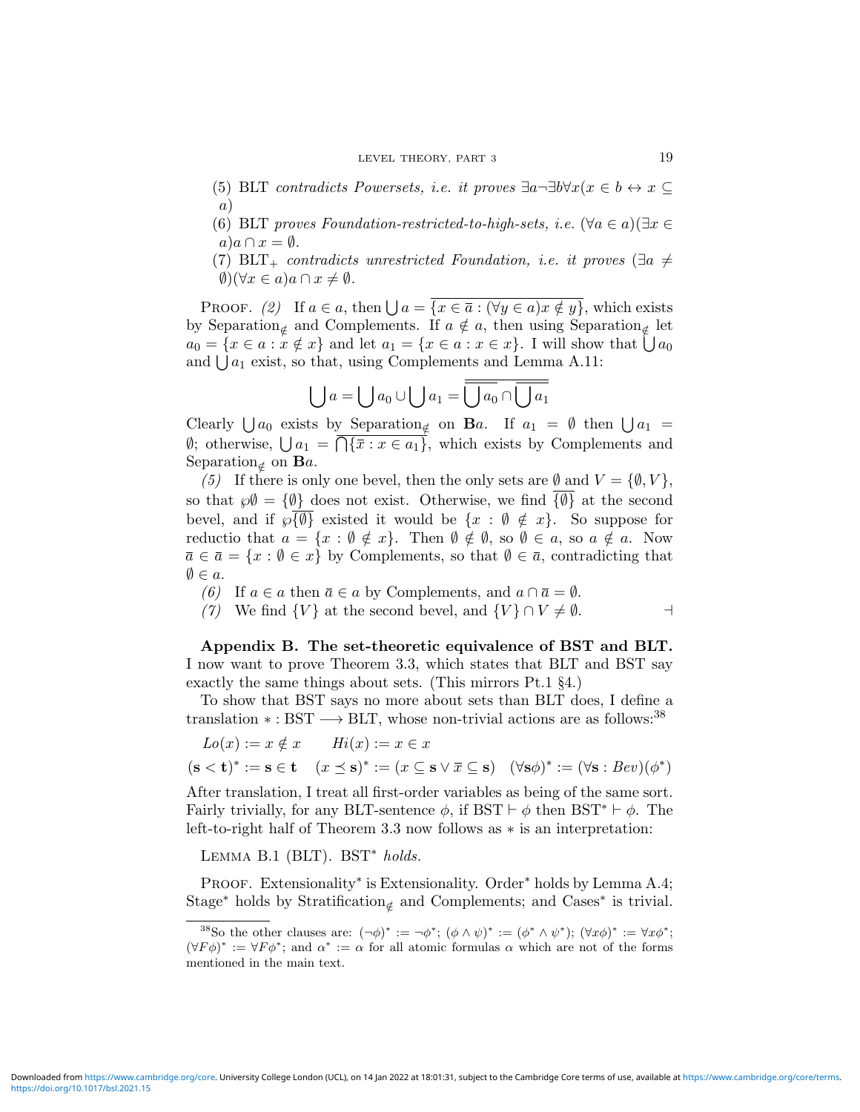#### LEVEL THEORY, PART 3 19

- (5) BLT contradicts Powersets, i.e. it proves  $\exists a \exists b \forall x (x \in b \leftrightarrow x \subseteq$ a)
- (6) BLT proves Foundation-restricted-to-high-sets, i.e.  $(\forall a \in a)(\exists x \in \mathbb{R})$  $a)a \cap x = \emptyset$ .
- (7) BLT<sub>+</sub> contradicts unrestricted Foundation, i.e. it proves  $(\exists a \neq b)$  $\emptyset$ )( $\forall x \in a$ ) $a \cap x \neq \emptyset$ .

PROOF. (2) If  $a \in a$ , then  $\bigcup a = \overline{\{x \in \overline{a} : (\forall y \in a) x \notin y\}}$ , which exists by Separation<sub>∉</sub> and Complements. If  $a \notin a$ , then using Separation<sub>∉</sub> let  $a_0 = \{x \in a : x \notin x\}$  and let  $a_1 = \{x \in a : x \in x\}$ . I will show that  $\bigcup a_0$ and  $\bigcup a_1$  exist, so that, using Complements and Lemma A.11:

$$
\bigcup a = \bigcup a_0 \cup \bigcup a_1 = \overline{\bigcup a_0} \cap \overline{\bigcup a_1}
$$

Clearly  $\bigcup a_0$  exists by Separation<sub>∉</sub> on **B**a. If  $a_1 = \emptyset$  then  $\bigcup a_1 = \emptyset$  $\emptyset$ ; otherwise,  $\bigcup a_1 = \bigcap {\overline{x}} : x \in a_1$ , which exists by Complements and Separation<sub>⊄</sub> on **B**a.

(5) If there is only one bevel, then the only sets are  $\emptyset$  and  $V = {\emptyset, V}$ , so that  $\wp \emptyset = {\emptyset}$  does not exist. Otherwise, we find  ${\emptyset}$  at the second bevel, and if  $\sqrt{\emptyset}$  existed it would be  $\{x : \emptyset \notin x\}$ . So suppose for reductio that  $a = \{x : \emptyset \notin x\}$ . Then  $\emptyset \notin \emptyset$ , so  $\emptyset \in a$ , so  $a \notin a$ . Now  $\bar{a} \in \bar{a} = \{x : \emptyset \in x\}$  by Complements, so that  $\emptyset \in \bar{a}$ , contradicting that  $\emptyset \in \mathfrak{a}.$ 

(6) If  $a \in a$  then  $\bar{a} \in a$  by Complements, and  $a \cap \bar{a} = \emptyset$ .

(7) We find  $\{V\}$  at the second bevel, and  $\{V\} \cap V \neq \emptyset$ .

Appendix B. The set-theoretic equivalence of BST and BLT. I now want to prove Theorem 3.3, which states that BLT and BST say exactly the same things about sets. (This mirrors Pt.1 §4.)

To show that BST says no more about sets than BLT does, I define a translation  $* : BST \longrightarrow BLT$ , whose non-trivial actions are as follows:<sup>38</sup>

$$
Lo(x) := x \notin x
$$
  
\n
$$
(s < t)^* := s \in t
$$
  
\n
$$
(x \le s)^* := (x \subseteq s \lor \overline{x} \subseteq s)
$$
  
\n
$$
(\forall s \phi)^* := (\forall s : Bev)(\phi^*)
$$

After translation, I treat all first-order variables as being of the same sort. Fairly trivially, for any BLT-sentence  $\phi$ , if BST  $\vdash \phi$  then BST<sup>\*</sup>  $\vdash \phi$ . The left-to-right half of Theorem 3.3 now follows as ∗ is an interpretation:

LEMMA B.1 (BLT). BST<sup>\*</sup> holds.

PROOF. Extensionality<sup>\*</sup> is Extensionality. Order<sup>\*</sup> holds by Lemma A.4; Stage<sup>∗</sup> holds by Stratification<sub>∉</sub> and Complements; and Cases<sup>∗</sup> is trivial.

<sup>&</sup>lt;sup>38</sup>So the other clauses are:  $(\neg \phi)^* := \neg \phi^*$ ;  $(\phi \wedge \psi)^* := (\phi^* \wedge \psi^*)$ ;  $(\forall x \phi)^* := \forall x \phi^*$ ;  $(\forall F \phi)^* := \forall F \phi^*$ ; and  $\alpha^* := \alpha$  for all atomic formulas  $\alpha$  which are not of the forms mentioned in the main text.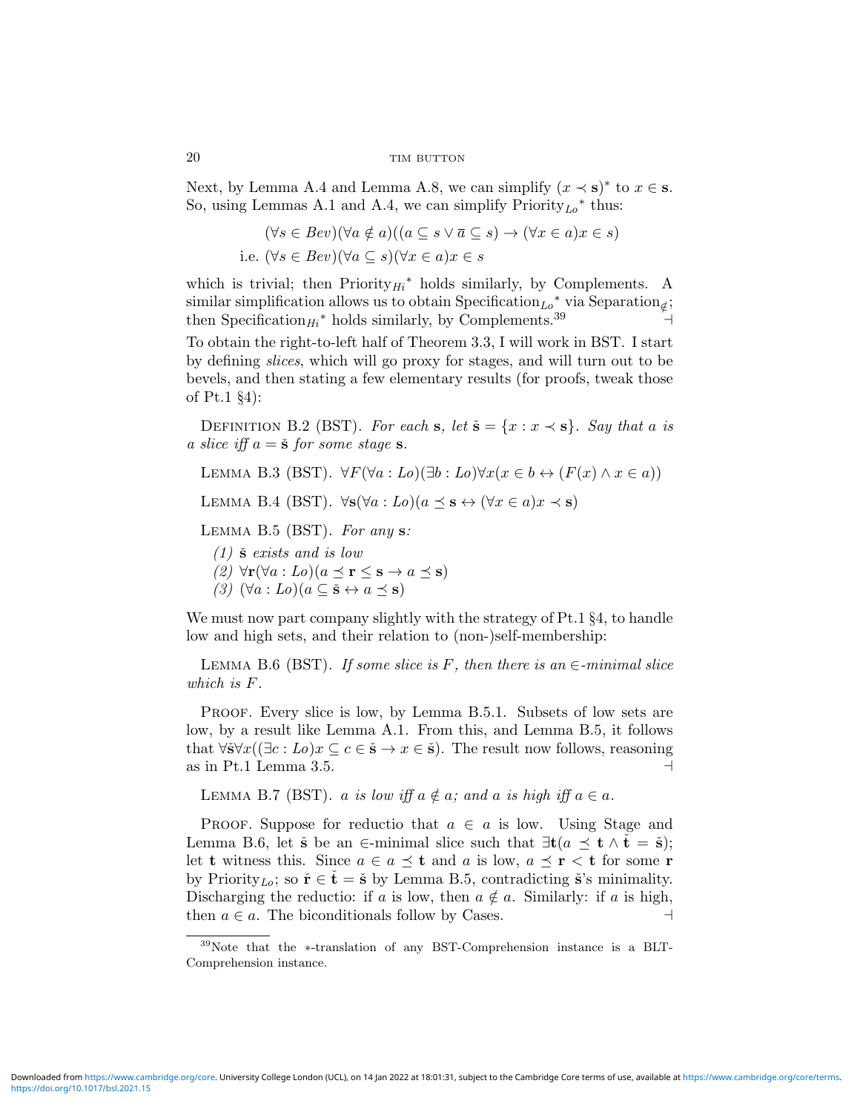Next, by Lemma A.4 and Lemma A.8, we can simplify  $(x \prec s)^*$  to  $x \in s$ . So, using Lemmas A.1 and A.4, we can simplify Priority<sub>Lo</sub><sup>\*</sup> thus:

$$
(\forall s \in Bev)(\forall a \notin a)((a \subseteq s \lor \overline{a} \subseteq s) \to (\forall x \in a)x \in s)
$$
  
i.e. 
$$
(\forall s \in Bev)(\forall a \subseteq s)(\forall x \in a)x \in s
$$

which is trivial; then  $Priority_{Hi}^*$  holds similarly, by Complements. A similar simplification allows us to obtain Specification<sub>Lo</sub><sup>\*</sup> via Separation<sub>∉</sub>; then Specification<sub>Hi</sub><sup>\*</sup> holds similarly, by Complements.<sup>39</sup> <sup>4</sup> To obtain the right-to-left half of Theorem 3.3, I will work in BST. I start by defining slices, which will go proxy for stages, and will turn out to be

bevels, and then stating a few elementary results (for proofs, tweak those of Pt.1 §4):

DEFINITION B.2 (BST). For each s, let  $\check{\mathbf{s}} = \{x : x \prec \mathbf{s}\}\$ . Say that a is a slice iff  $a = \check{s}$  for some stage s.

LEMMA B.3 (BST).  $\forall F(\forall a : Lo)(\exists b : Lo)\forall x(x \in b \leftrightarrow (F(x) \land x \in a))$ 

LEMMA B.4 (BST).  $\forall$ s( $\forall a : Lo$ )( $a \preceq s \leftrightarrow (\forall x \in a) x \prec s$ )

LEMMA B.5 (BST). For any  $s$ :

 $(1)$   $\check{\mathbf{s}}$  exists and is low

- (2)  $\forall$ **r**( $\forall$ *a* : *Lo*)( $a \preceq$ **r**  $\leq$  **s**  $\rightarrow$  *a*  $\preceq$  **s**)
- (3)  $(\forall a : Lo)(a \subseteq \check{\mathbf{s}} \leftrightarrow a \prec \mathbf{s})$

We must now part company slightly with the strategy of Pt.1  $\S 4$ , to handle low and high sets, and their relation to (non-)self-membership:

LEMMA B.6 (BST). If some slice is F, then there is an  $\in$ -minimal slice which is F.

PROOF. Every slice is low, by Lemma B.5.1. Subsets of low sets are low, by a result like Lemma A.1. From this, and Lemma B.5, it follows that  $\forall \check{s} \forall x ((\exists c : Lo)x \subseteq c \in \check{s} \rightarrow x \in \check{s})$ . The result now follows, reasoning as in Pt.1 Lemma 3.5.  $\Box$ 

LEMMA B.7 (BST). a is low iff  $a \notin a$ ; and a is high iff  $a \in a$ .

PROOF. Suppose for reductio that  $a \in a$  is low. Using Stage and Lemma B.6, let  $\check{\mathbf{s}}$  be an ∈-minimal slice such that  $\exists \mathbf{t} (a \preceq \mathbf{t} \wedge \check{\mathbf{t}} = \check{\mathbf{s}});$ let t witness this. Since  $a \in a \preceq t$  and a is low,  $a \preceq r < t$  for some r by Priority<sub>Lo</sub>; so  $\check{\mathbf{r}} \in \check{\mathbf{t}} = \check{\mathbf{s}}$  by Lemma B.5, contradicting  $\check{\mathbf{s}}$ 's minimality. Discharging the reductio: if a is low, then  $a \notin a$ . Similarly: if a is high, then  $a \in a$ . The biconditionals follow by Cases.

<sup>39</sup>Note that the ∗-translation of any BST-Comprehension instance is a BLT-Comprehension instance.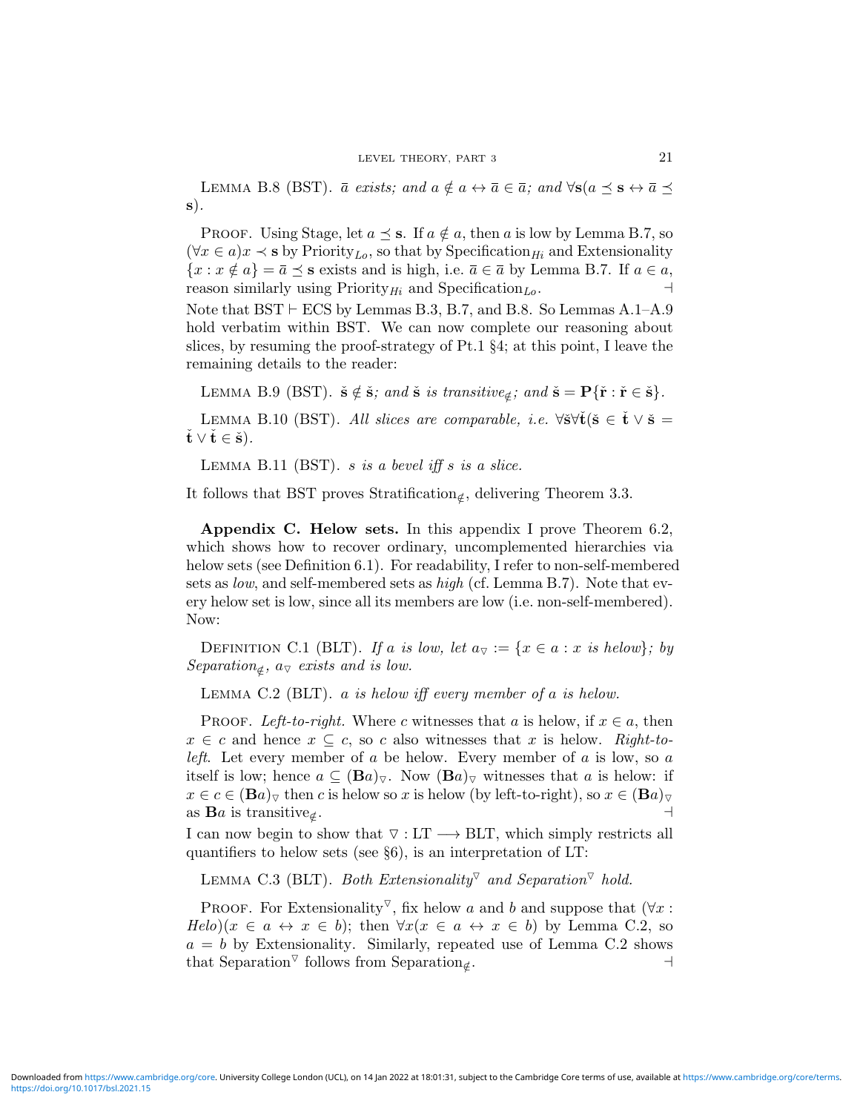LEMMA B.8 (BST).  $\bar{a}$  exists; and  $a \notin a \leftrightarrow \bar{a} \in \bar{a}$ ; and  $\forall s (a \preceq s \leftrightarrow \bar{a} \preceq s)$ s).

PROOF. Using Stage, let  $a \preceq s$ . If  $a \notin a$ , then a is low by Lemma B.7, so  $(\forall x \in a) x \prec s$  by Priority<sub>Lo</sub>, so that by Specification<sub>Hi</sub> and Extensionality  ${x : x \notin a} = \overline{a} \preceq s$  exists and is high, i.e.  $\overline{a} \in \overline{a}$  by Lemma B.7. If  $a \in a$ , reason similarly using Priority<sub>Hi</sub> and Specification<sub>Lo</sub>.

Note that  $BST \vdash ECS$  by Lemmas B.3, B.7, and B.8. So Lemmas A.1–A.9 hold verbatim within BST. We can now complete our reasoning about slices, by resuming the proof-strategy of Pt.1 §4; at this point, I leave the remaining details to the reader:

LEMMA B.9 (BST).  $\check{\mathbf{s}} \notin \check{\mathbf{s}}$ ; and  $\check{\mathbf{s}}$  is transitive<sub> $\notin$ </sub>; and  $\check{\mathbf{s}} = \mathbf{P}\{\check{\mathbf{r}} : \check{\mathbf{r}} \in \check{\mathbf{s}}\}$ .

LEMMA B.10 (BST). All slices are comparable, i.e.  $\forall \check{\mathbf{s}} \forall \check{\mathbf{t}} (\check{\mathbf{s}} \in \check{\mathbf{t}} \lor \check{\mathbf{s}} =$  $\dot{\mathbf{t}} \vee \dot{\mathbf{t}} \in \check{\mathbf{s}}$ ).

LEMMA B.11 (BST). s is a bevel iff s is a slice.

It follows that BST proves Stratification<sub>∉</sub>, delivering Theorem 3.3.

Appendix C. Helow sets. In this appendix I prove Theorem 6.2, which shows how to recover ordinary, uncomplemented hierarchies via helow sets (see Definition 6.1). For readability, I refer to non-self-membered sets as *low*, and self-membered sets as  $high$  (cf. Lemma B.7). Note that every helow set is low, since all its members are low (i.e. non-self-membered). Now:

DEFINITION C.1 (BLT). If a is low, let  $a_{\triangledown} := \{x \in a : x \text{ is below}\}\;; by$ Separation<sub> $\notin$ </sub>,  $a_{\nabla}$  exists and is low.

LEMMA C.2 (BLT).  $a$  is helow iff every member of  $a$  is helow.

PROOF. Left-to-right. Where c witnesses that a is helow, if  $x \in a$ , then  $x \in c$  and hence  $x \subseteq c$ , so c also witnesses that x is helow. Right-to*left.* Let every member of a be helow. Every member of a is low, so a itself is low; hence  $a \subseteq (Ba)_{\nabla}$ . Now  $(Ba)_{\nabla}$  witnesses that a is helow: if  $x \in c \in (Ba)_{\nabla}$  then c is helow so x is helow (by left-to-right), so  $x \in (Ba)_{\nabla}$ as  $\mathbf{B}a$  is transitive<sub>⊄</sub>. . A construction of the construction of the construction of the construction of the construction of the construction of the construction of the construction of the construction of the construction of the construction of th

I can now begin to show that  $\nabla : LT \longrightarrow BLT$ , which simply restricts all quantifiers to helow sets (see §6), is an interpretation of LT:

LEMMA C.3 (BLT). Both Extensionality<sup> $\triangledown$ </sup> and Separation<sup> $\triangledown$ </sup> hold.

PROOF. For Extensionality<sup> $\triangledown$ </sup>, fix helow a and b and suppose that ( $\forall x$ :  $Helo(x \in a \leftrightarrow x \in b);$  then  $\forall x(x \in a \leftrightarrow x \in b)$  by Lemma C.2, so  $a = b$  by Extensionality. Similarly, repeated use of Lemma C.2 shows that Separation<sup> $\triangledown$ </sup> follows from Separation<sub>∉</sub>. . a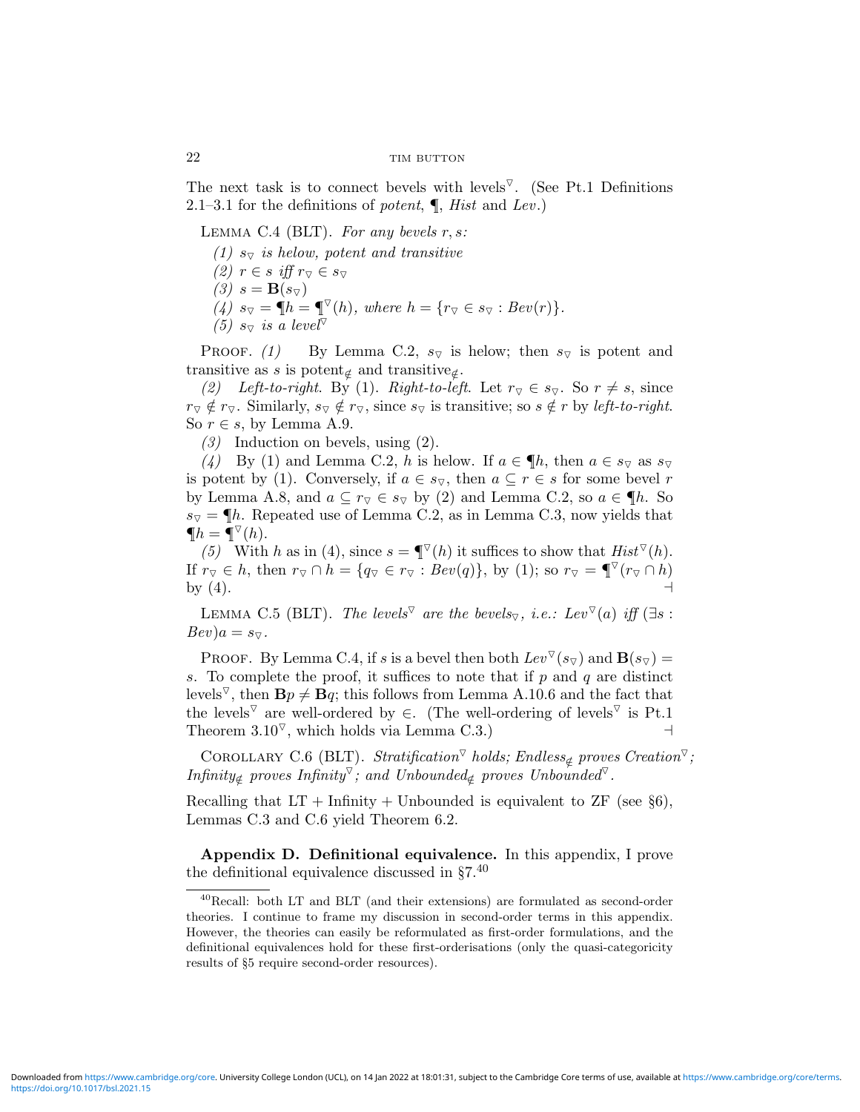The next task is to connect bevels with levels<sup> $\nabla$ </sup>. (See Pt.1 Definitions 2.1–3.1 for the definitions of potent,  $\P$ , Hist and Lev.)

LEMMA C.4 (BLT). For any bevels  $r, s$ :

- (1)  $s_{\nabla}$  is helow, potent and transitive
- $(2)$   $r \in s$  iff  $r_{\nabla} \in s_{\nabla}$
- $(3)$   $s = \mathbf{B}(s_{\triangledown})$
- $(A)$   $s_{\triangledown} = \P h = \P^{\triangledown}(h)$ , where  $h = \{r_{\triangledown} \in s_{\triangledown} : Bev(r)\}.$
- (5)  $s_{\overline{\vee}}$  is a level<sup> $\overline{\vee}$ </sup>

**PROOF.** (1) By Lemma C.2,  $s_{\nabla}$  is helow; then  $s_{\nabla}$  is potent and transitive as s is potent<sub>∉</sub> and transitive<sub>∉</sub>.

(2) Left-to-right. By (1). Right-to-left. Let  $r_{\nabla} \in s_{\nabla}$ . So  $r \neq s$ , since  $r_{\triangledown} \notin r_{\triangledown}$ . Similarly,  $s_{\triangledown} \notin r_{\triangledown}$ , since  $s_{\triangledown}$  is transitive; so  $s \notin r$  by left-to-right. So  $r \in s$ , by Lemma A.9.

(3) Induction on bevels, using (2).

(4) By (1) and Lemma C.2, h is helow. If  $a \in \P h$ , then  $a \in s_{\nabla}$  as  $s_{\nabla}$ is potent by (1). Conversely, if  $a \in s_{\nabla}$ , then  $a \subseteq r \in s$  for some bevel r by Lemma A.8, and  $a \subseteq r_{\overline{y}} \in s_{\overline{y}}$  by (2) and Lemma C.2, so  $a \in \P h$ . So  $s_{\nabla} = \P h$ . Repeated use of Lemma C.2, as in Lemma C.3, now yields that  $\P$ *h* =  $\P$ <sup> $\triangledown$ </sup>(*h*).

(5) With h as in (4), since  $s = \P^{\triangledown}(h)$  it suffices to show that  $Hist^{\triangledown}(h)$ . If  $r_{\overline{Y}} \in h$ , then  $r_{\overline{Y}} \cap h = \{q_{\overline{Y}} \in r_{\overline{Y}} : Bev(q)\}\$ , by (1); so  $r_{\overline{Y}} = \P^{\overline{Y}}(r_{\overline{Y}} \cap h)$ by  $(4)$ .

LEMMA C.5 (BLT). The levels<sup> $\triangledown$ </sup> are the bevels<sub> $\triangledown$ </sub>, i.e.: Lev  $\triangledown(a)$  iff (∃s :  $Bev$ ) $a = s_{\nabla}$ .

PROOF. By Lemma C.4, if s is a bevel then both  $Lev^{\triangledown}(s_{\triangledown})$  and  $\mathbf{B}(s_{\triangledown})=$ s. To complete the proof, it suffices to note that if  $p$  and  $q$  are distinct levels<sup> $\nabla$ </sup>, then  $\mathbf{B}p \neq \mathbf{B}q$ ; this follows from Lemma A.10.6 and the fact that the levels<sup> $\triangledown$ </sup> are well-ordered by  $\in$ . (The well-ordering of levels<sup> $\triangledown$ </sup> is Pt.1 Theorem  $3.10^{\nabla}$ , which holds via Lemma C.3.)

COROLLARY C.6 (BLT). Stratification<sup> $\triangledown$ </sup> holds; Endless<sub>⊄</sub> proves Creation<sup> $\triangledown$ </sup>; Infinity<sub>∉</sub> proves Infinity<sup> $\triangledown$ </sup>; and Unbounded<sub>∉</sub> proves Unbounded<sup> $\triangledown$ </sup>.

Recalling that  $LT +$  Infinity + Unbounded is equivalent to  $ZF$  (see §6), Lemmas C.3 and C.6 yield Theorem 6.2.

Appendix D. Definitional equivalence. In this appendix, I prove the definitional equivalence discussed in  $\S7<sup>40</sup>$ 

<sup>40</sup>Recall: both LT and BLT (and their extensions) are formulated as second-order theories. I continue to frame my discussion in second-order terms in this appendix. However, the theories can easily be reformulated as first-order formulations, and the definitional equivalences hold for these first-orderisations (only the quasi-categoricity results of §5 require second-order resources).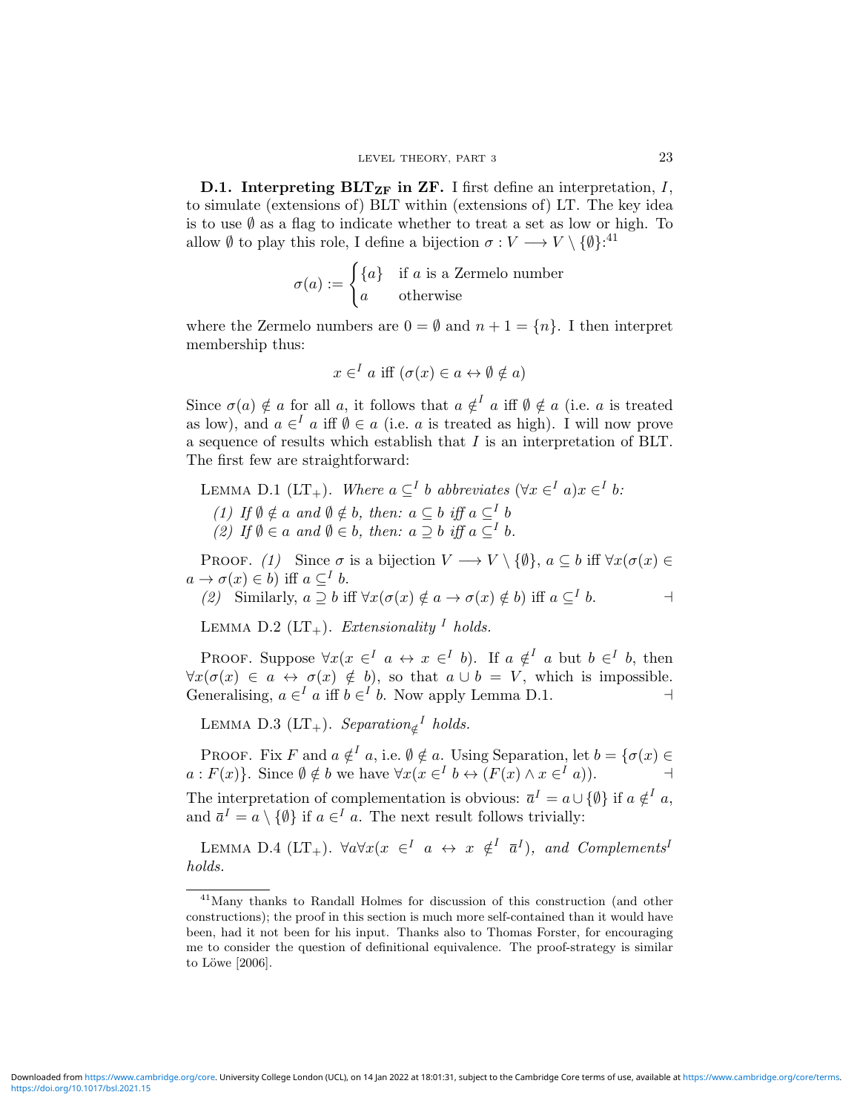**D.1.** Interpreting  $BLT_{ZF}$  in ZF. I first define an interpretation, I, to simulate (extensions of) BLT within (extensions of) LT. The key idea is to use  $\emptyset$  as a flag to indicate whether to treat a set as low or high. To allow  $\emptyset$  to play this role, I define a bijection  $\sigma: V \longrightarrow V \setminus \{\emptyset\}^{41}$ 

$$
\sigma(a) := \begin{cases} \{a\} & \text{if } a \text{ is a Zermelo number} \\ a & \text{otherwise} \end{cases}
$$

where the Zermelo numbers are  $0 = \emptyset$  and  $n + 1 = \{n\}$ . I then interpret membership thus:

$$
x \in I \text{ a iff } (\sigma(x) \in a \leftrightarrow \emptyset \notin a)
$$

Since  $\sigma(a) \notin a$  for all a, it follows that  $a \notin I$  a iff  $\emptyset \notin a$  (i.e. a is treated as low), and  $a \in I$  a iff  $\emptyset \in a$  (i.e. a is treated as high). I will now prove a sequence of results which establish that I is an interpretation of BLT. The first few are straightforward:

LEMMA D.1 (LT<sub>+</sub>). Where  $a \subseteq^I b$  abbreviates  $(\forall x \in^I a)x \in^I b$ : (1) If  $\emptyset \notin a$  and  $\emptyset \notin b$ , then:  $a \subseteq b$  iff  $a \subseteq^{I} b$ (2) If  $\emptyset \in a$  and  $\emptyset \in b$ , then:  $a \supseteq b$  iff  $a \subseteqq^I b$ .

PROOF. (1) Since  $\sigma$  is a bijection  $V \longrightarrow V \setminus \{\emptyset\}$ ,  $a \subseteq b$  iff  $\forall x(\sigma(x) \in$  $a \to \sigma(x) \in b$ ) iff  $a \subseteq^I b$ .

(2) Similarly, 
$$
a \supseteq b
$$
 iff  $\forall x (\sigma(x) \notin a \rightarrow \sigma(x) \notin b)$  iff  $a \subseteq I$  b.

LEMMA D.2  $(LT_+)$ . Extensionality <sup>I</sup> holds.

PROOF. Suppose  $\forall x (x \in \{I \mid a \leftrightarrow x \in I] \ b)$ . If  $a \notin \{I \mid a \text{ but } b \in I \ b, \text{ then } I$  $\forall x(\sigma(x) \in a \leftrightarrow \sigma(x) \notin b)$ , so that  $a \cup b = V$ , which is impossible. Generalising,  $a \in I$  a iff  $b \in I$  b. Now apply Lemma D.1.

LEMMA D.3 (LT<sub>+</sub>). Separation<sub>∉</sub><sup>I</sup> holds.

PROOF. Fix F and  $a \notin I$  a, i.e.  $\emptyset \notin a$ . Using Separation, let  $b = \{\sigma(x) \in I\}$  $a: F(x)$ . Since  $\emptyset \notin b$  we have  $\forall x (x \in I \mid b \leftrightarrow (F(x) \land x \in I \mid a))$ .

The interpretation of complementation is obvious:  $\bar{a}^I = a \cup \{\emptyset\}$  if  $a \notin I$  a, and  $\bar{a}^I = a \setminus \{\emptyset\}$  if  $a \in I$  a. The next result follows trivially:

LEMMA D.4 (LT<sub>+</sub>).  $\forall a \forall x (x \in \{-1, a \leftrightarrow x \notin \{-1, a\})$ , and Complements<sup>1</sup> holds.

<sup>41</sup>Many thanks to Randall Holmes for discussion of this construction (and other constructions); the proof in this section is much more self-contained than it would have been, had it not been for his input. Thanks also to Thomas Forster, for encouraging me to consider the question of definitional equivalence. The proof-strategy is similar to Löwe  $[2006]$ .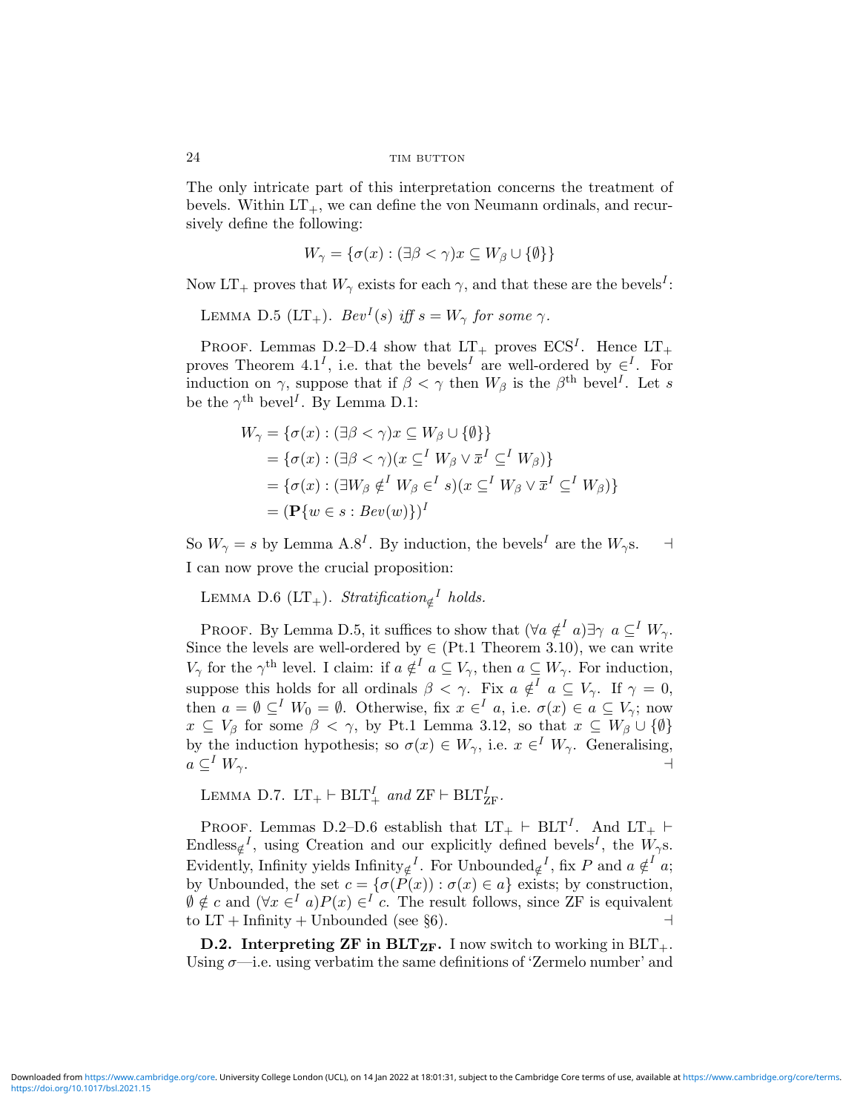The only intricate part of this interpretation concerns the treatment of bevels. Within  $LT_+$ , we can define the von Neumann ordinals, and recursively define the following:

$$
W_{\gamma} = \{ \sigma(x) : (\exists \beta < \gamma) x \subseteq W_{\beta} \cup \{\emptyset\} \}
$$

Now  $LT_+$  proves that  $W_\gamma$  exists for each  $\gamma$ , and that these are the bevels<sup>I</sup>:

LEMMA D.5 (LT<sub>+</sub>).  $Bev^{I}(s)$  iff  $s = W_{\gamma}$  for some  $\gamma$ .

PROOF. Lemmas D.2–D.4 show that  $LT_+$  proves  $ECS<sup>I</sup>$ . Hence  $LT_+$ proves Theorem 4.1<sup>I</sup>, i.e. that the bevels<sup>I</sup> are well-ordered by  $\in$ <sup>I</sup>. For induction on  $\gamma$ , suppose that if  $\beta < \gamma$  then  $W_{\beta}$  is the  $\beta^{th}$  bevel<sup>I</sup>. Let s be the  $\gamma^{\text{th}}$  bevel<sup>*I*</sup>. By Lemma D.1:

$$
W_{\gamma} = \{ \sigma(x) : (\exists \beta < \gamma) x \subseteq W_{\beta} \cup \{\emptyset \} \}
$$
  
=  $\{ \sigma(x) : (\exists \beta < \gamma) (x \subseteq^{I} W_{\beta} \lor \overline{x}^{I} \subseteq^{I} W_{\beta}) \}$   
=  $\{ \sigma(x) : (\exists W_{\beta} \notin^{I} W_{\beta} \in^{I} s) (x \subseteq^{I} W_{\beta} \lor \overline{x}^{I} \subseteq^{I} W_{\beta}) \}$   
=  $(\mathbf{P} \{ w \in s : Bev(w) \})^{I}$ 

So  $W_{\gamma} = s$  by Lemma A.8<sup>I</sup>. By induction, the bevels<sup>I</sup> are the  $W_{\gamma}$ s.  $\rightarrow$ I can now prove the crucial proposition:

LEMMA D.6 (LT<sub>+</sub>). Stratification<sub>g</sub><sup>I</sup> holds.

PROOF. By Lemma D.5, it suffices to show that  $(\forall a \notin^{I} a) \exists \gamma \ a \subseteq^{I} W_{\gamma}$ . Since the levels are well-ordered by  $\in$  (Pt.1 Theorem 3.10), we can write  $V_{\gamma}$  for the  $\gamma^{\text{th}}$  level. I claim: if  $a \notin I$   $a \subseteq V_{\gamma}$ , then  $a \subseteq W_{\gamma}$ . For induction, suppose this holds for all ordinals  $\beta < \gamma$ . Fix  $a \notin I$   $a \subseteq V_{\gamma}$ . If  $\gamma = 0$ , then  $a = \emptyset \subseteq^I W_0 = \emptyset$ . Otherwise, fix  $x \in^I a$ , i.e.  $\sigma(x) \in a \subseteq V_\gamma$ ; now  $x \subseteq V_\beta$  for some  $\beta < \gamma$ , by Pt.1 Lemma 3.12, so that  $x \subseteq W_\beta \cup {\emptyset}$ by the induction hypothesis; so  $\sigma(x) \in W_{\gamma}$ , i.e.  $x \in W_{\gamma}$ . Generalising,  $a \subseteq^{I} W_{\gamma}$ .

LEMMA D.7.  $LT_+ \vdash BLT_+^I$  and  $ZF \vdash BLT_{ZF}^I$ .

PROOF. Lemmas D.2–D.6 establish that  $LT_+ \vdash BLT^I$ . And  $LT_+ \vdash$ Endless<sub> $\notin$ </sub><sup>*I*</sup>, using Creation and our explicitly defined bevels<sup>*I*</sup>, the  $W_{\gamma}$ s. Evidently, Infinity yields  $\text{Infinity}_{\notin}^{I}$ . For Unbounded<sub> $\notin$ </sub><sup>*I*</sup>, fix *P* and  $a \notin$ <sup>*I*</sup> *a*; by Unbounded, the set  $c = \{ \sigma(P(x)) : \sigma(x) \in a \}$  exists; by construction,  $\emptyset \notin c$  and  $(\forall x \in \{I\} \in \{F\} \cap \{C\}) \in \{I\}$  c. The result follows, since ZF is equivalent to  $LT + Infinite + Unbounded (see §6).$ 

**D.2.** Interpreting ZF in BLT<sub>ZF</sub>. I now switch to working in BLT<sub>+</sub>. Using  $\sigma$ —i.e. using verbatim the same definitions of 'Zermelo number' and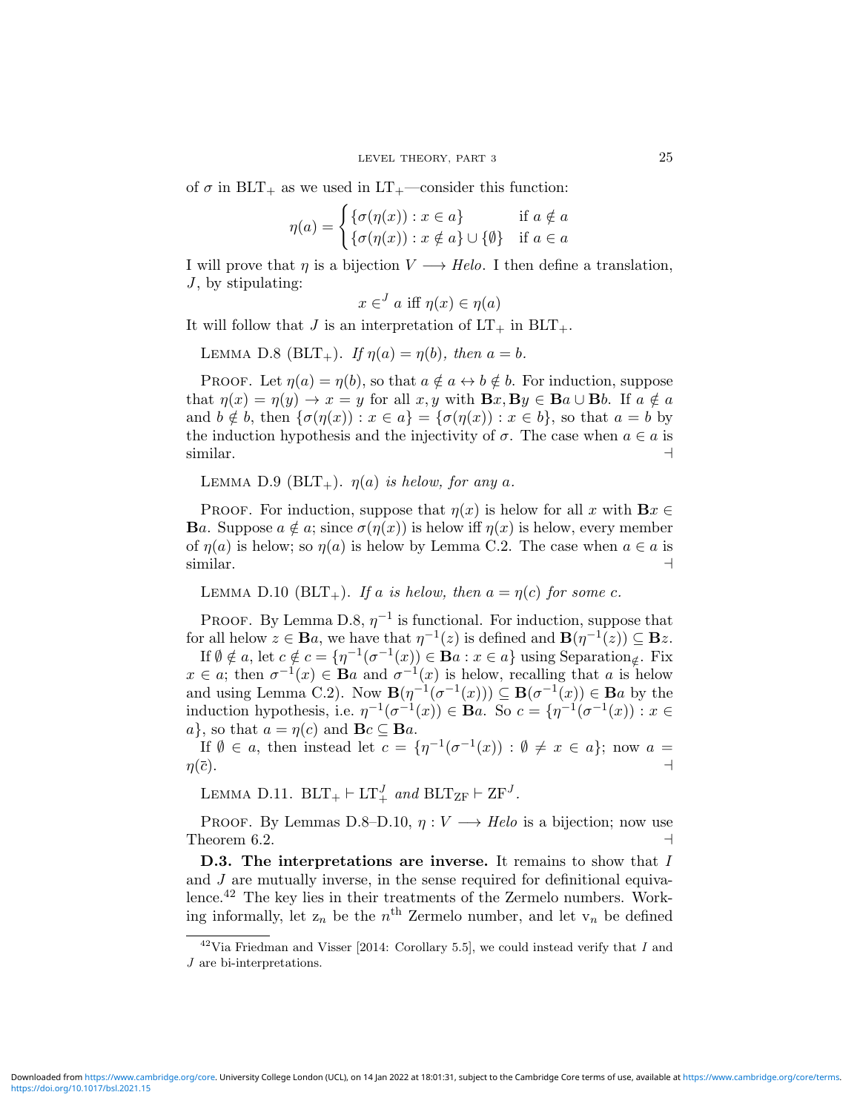of  $\sigma$  in BLT<sub>+</sub> as we used in LT<sub>+</sub>—consider this function:

$$
\eta(a) = \begin{cases} \{\sigma(\eta(x)) : x \in a\} & \text{if } a \notin a \\ \{\sigma(\eta(x)) : x \notin a\} \cup \{\emptyset\} & \text{if } a \in a \end{cases}
$$

I will prove that  $\eta$  is a bijection  $V \longrightarrow Hel$ . I then define a translation,  $J$ , by stipulating:

$$
x \in J a \text{ iff } \eta(x) \in \eta(a)
$$

It will follow that J is an interpretation of  $LT_+$  in  $BLT_+$ .

LEMMA D.8 (BLT<sub>+</sub>). If  $\eta(a) = \eta(b)$ , then  $a = b$ .

PROOF. Let  $\eta(a) = \eta(b)$ , so that  $a \notin a \leftrightarrow b \notin b$ . For induction, suppose that  $\eta(x) = \eta(y) \to x = y$  for all  $x, y$  with  $\mathbf{B}x, \mathbf{B}y \in \mathbf{B}a \cup \mathbf{B}b$ . If  $a \notin a$ and  $b \notin b$ , then  $\{\sigma(\eta(x)) : x \in a\} = \{\sigma(\eta(x)) : x \in b\}$ , so that  $a = b$  by the induction hypothesis and the injectivity of  $\sigma$ . The case when  $a \in a$  is  $\mathop{\text{similar.}}$ 

LEMMA D.9 (BLT<sub>+</sub>).  $\eta(a)$  is helow, for any a.

**PROOF.** For induction, suppose that  $\eta(x)$  is helow for all x with  $\mathbf{B}x \in$ **Ba.** Suppose  $a \notin a$ ; since  $\sigma(\eta(x))$  is helow iff  $\eta(x)$  is helow, every member of  $\eta(a)$  is helow; so  $\eta(a)$  is helow by Lemma C.2. The case when  $a \in a$  is  $\mathop{\text{similar.}}$ 

LEMMA D.10 (BLT<sub>+</sub>). If a is helow, then  $a = \eta(c)$  for some c.

PROOF. By Lemma D.8,  $\eta^{-1}$  is functional. For induction, suppose that for all helow  $z \in \mathbf{B}a$ , we have that  $\eta^{-1}(z)$  is defined and  $\mathbf{B}(\eta^{-1}(z)) \subseteq \mathbf{B}z$ .

If  $\emptyset \notin a$ , let  $c \notin c = {\eta^{-1}(\sigma^{-1}(x)) \in \mathbf{B}a : x \in a}$  using Separation<sub> $\notin$ </sub>. Fix  $x \in a$ ; then  $\sigma^{-1}(x) \in \mathbf{B}a$  and  $\sigma^{-1}(x)$  is helow, recalling that a is helow and using Lemma C.2). Now  $\mathbf{B}(\eta^{-1}(\sigma^{-1}(x))) \subseteq \mathbf{B}(\sigma^{-1}(x)) \in \mathbf{B}a$  by the induction hypothesis, i.e.  $\eta^{-1}(\sigma^{-1}(x)) \in \mathbf{B}a$ . So  $c = {\eta^{-1}(\sigma^{-1}(x)) : x \in \mathbf{B}a}$  $a$ , so that  $a = \eta(c)$  and  $\mathbf{B}c \subseteq \mathbf{B}a$ .

If  $\emptyset \in \alpha$ , then instead let  $c = \{\eta^{-1}(\sigma^{-1}(x)) : \emptyset \neq x \in \alpha\}$ ; now  $\alpha =$  $\eta(\bar{c})$ .

LEMMA D.11.  $BLT_+ \vdash LT_+^J$  and  $BLT_{ZF} \vdash ZF^J$ .

PROOF. By Lemmas D.8–D.10,  $\eta: V \longrightarrow Helo$  is a bijection; now use Theorem 6.2.  $\Box$ 

D.3. The interpretations are inverse. It remains to show that I and  $J$  are mutually inverse, in the sense required for definitional equivalence.<sup>42</sup> The key lies in their treatments of the Zermelo numbers. Working informally, let  $z_n$  be the  $n<sup>th</sup>$  Zermelo number, and let  $v_n$  be defined

 $42$ Via Friedman and Visser [2014: Corollary 5.5], we could instead verify that I and J are bi-interpretations.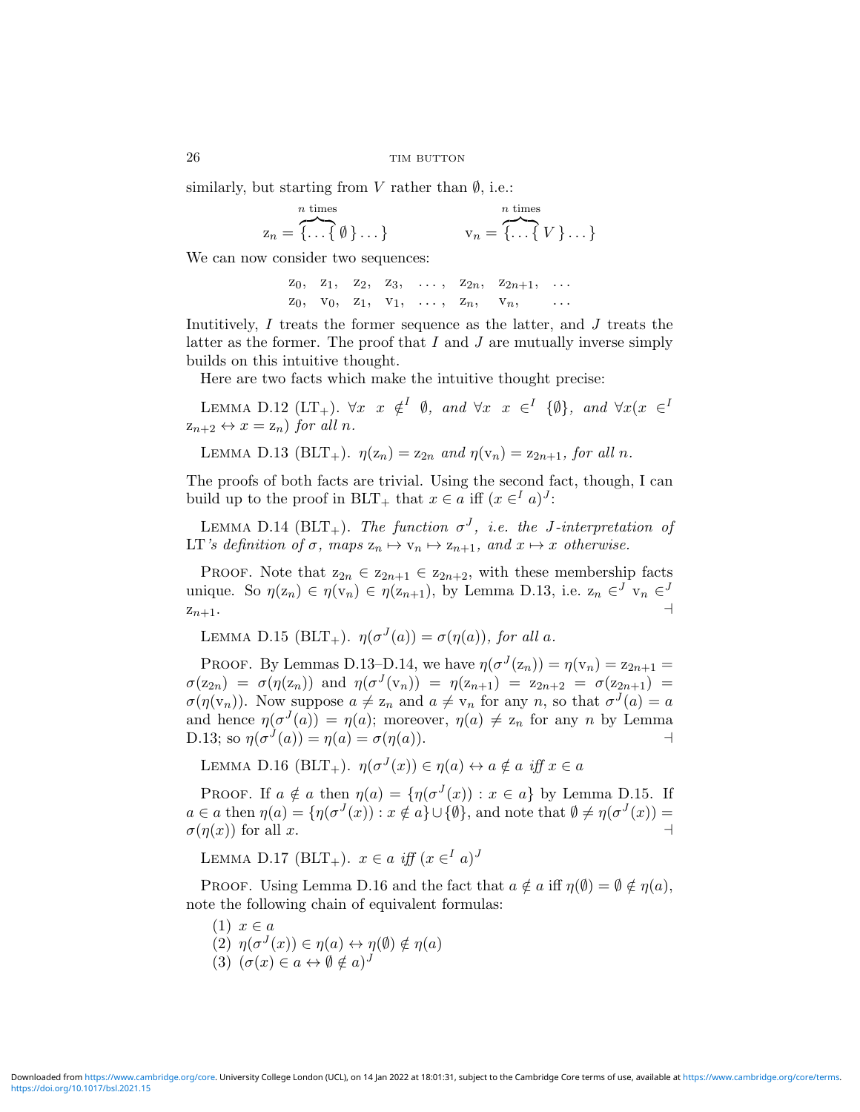similarly, but starting from V rather than  $\emptyset$ , i.e.:

$$
z_n = \overbrace{\{\ldots\{\emptyset\}}\ldots}
$$
\n
$$
v_n = \overbrace{\{\ldots\{V\}}\ldots}
$$

We can now consider two sequences:

 $z_0$ ,  $z_1$ ,  $z_2$ ,  $z_3$ , ...,  $z_{2n}$ ,  $z_{2n+1}$ , ...  $Z_0$ ,  $V_0$ ,  $Z_1$ ,  $V_1$ , ...,  $Z_n$ ,  $V_n$ ,

Inutitively,  $I$  treats the former sequence as the latter, and  $J$  treats the latter as the former. The proof that  $I$  and  $J$  are mutually inverse simply builds on this intuitive thought.

Here are two facts which make the intuitive thought precise:

LEMMA D.12 (LT<sub>+</sub>).  $\forall x \ x \notin^I \emptyset$ , and  $\forall x \ x \in^I \{\emptyset\}$ , and  $\forall x(x \in^I I)$  $z_{n+2} \leftrightarrow x = z_n$  for all n.

LEMMA D.13 (BLT<sub>+</sub>).  $\eta(z_n) = z_{2n}$  and  $\eta(v_n) = z_{2n+1}$ , for all n.

The proofs of both facts are trivial. Using the second fact, though, I can build up to the proof in BLT<sub>+</sub> that  $x \in a$  iff  $(x \in^I a)^J$ :

LEMMA D.14 (BLT<sub>+</sub>). The function  $\sigma^{J}$ , i.e. the J-interpretation of LT's definition of  $\sigma$ , maps  $z_n \mapsto v_n \mapsto z_{n+1}$ , and  $x \mapsto x$  otherwise.

PROOF. Note that  $z_{2n} \in z_{2n+1} \in z_{2n+2}$ , with these membership facts unique. So  $\eta(z_n) \in \eta(v_n) \in \eta(z_{n+1})$ , by Lemma D.13, i.e.  $z_n \in J \, v_n \in J$  $z_{n+1}$ .

LEMMA D.15 (BLT<sub>+</sub>).  $\eta(\sigma^{J}(a)) = \sigma(\eta(a))$ , for all a.

PROOF. By Lemmas D.13–D.14, we have  $\eta(\sigma^J(z_n)) = \eta(v_n) = z_{2n+1}$  $\sigma(z_{2n}) = \sigma(\eta(z_n))$  and  $\eta(\sigma^J(v_n)) = \eta(z_{n+1}) = z_{2n+2} = \sigma(z_{2n+1}) =$  $\sigma(\eta(\mathbf{v}_n))$ . Now suppose  $a \neq \mathbf{z}_n$  and  $a \neq \mathbf{v}_n$  for any n, so that  $\sigma^{J}(a) = a$ and hence  $\eta(\sigma^J(a)) = \eta(a)$ ; moreover,  $\eta(a) \neq z_n$  for any n by Lemma D.13; so  $\eta(\sigma^{J}(a)) = \eta(a) = \sigma(\eta(a)).$ 

LEMMA D.16 (BLT<sub>+</sub>).  $\eta(\sigma^J(x)) \in \eta(a) \leftrightarrow a \notin a$  iff  $x \in a$ 

PROOF. If  $a \notin a$  then  $\eta(a) = {\eta(\sigma^J(x)) : x \in a}$  by Lemma D.15. If  $a \in \alpha$  then  $\eta(a) = {\eta(\sigma^J(x)) : x \notin a} \cup {\emptyset}$ , and note that  $\emptyset \neq \eta(\sigma^J(x)) =$  $\sigma(\eta(x))$  for all x.

LEMMA D.17 (BLT<sub>+</sub>).  $x \in a$  iff  $(x \in I a)^J$ 

PROOF. Using Lemma D.16 and the fact that  $a \notin a$  iff  $\eta(\emptyset) = \emptyset \notin \eta(a)$ , note the following chain of equivalent formulas:

- $(1)$   $x \in a$
- (2)  $\eta(\sigma^J(x)) \in \eta(a) \leftrightarrow \eta(\emptyset) \notin \eta(a)$ (3)  $(\sigma(x) \in a \leftrightarrow \emptyset \notin a)^J$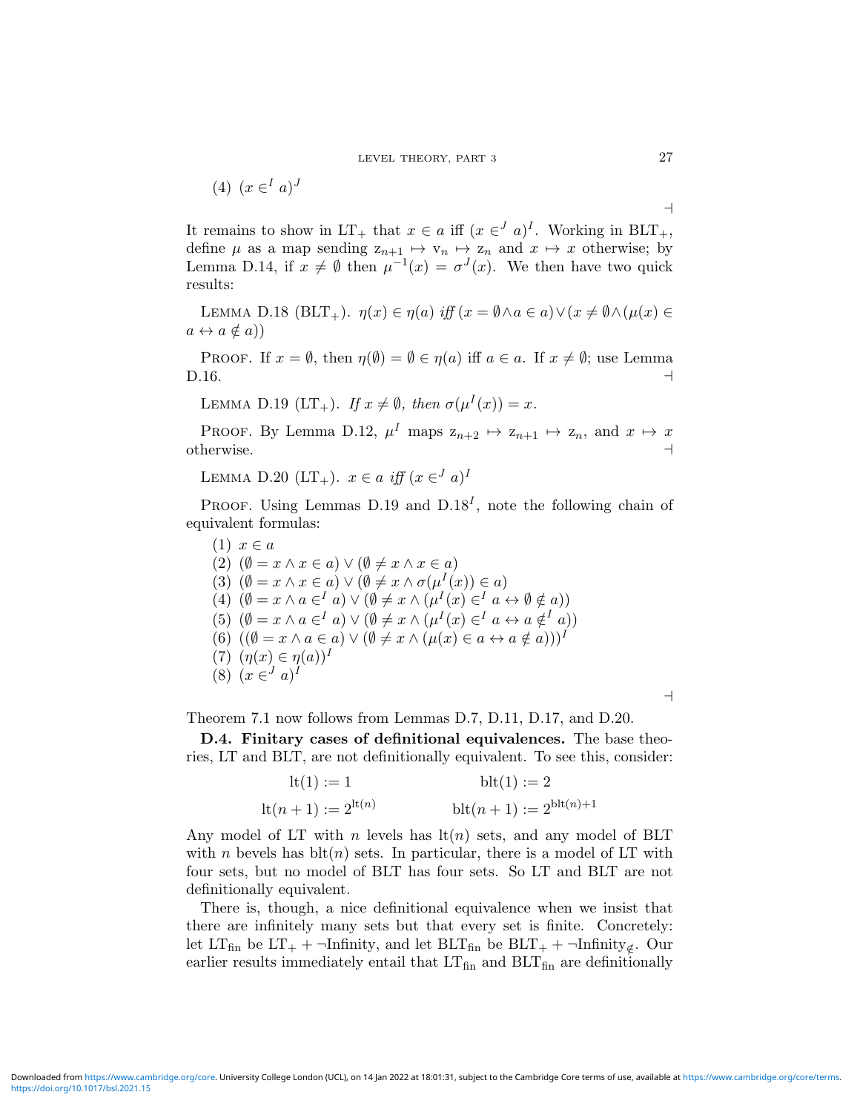$$
(4) (x \in I a)^J
$$

It remains to show in LT<sub>+</sub> that  $x \in a$  iff  $(x \in J a)^I$ . Working in BLT<sub>+</sub>, define  $\mu$  as a map sending  $z_{n+1} \mapsto v_n \mapsto z_n$  and  $x \mapsto x$  otherwise; by Lemma D.14, if  $x \neq \emptyset$  then  $\mu^{-1}(x) = \sigma^{J}(x)$ . We then have two quick results:

LEMMA D.18 (BLT<sub>+</sub>).  $\eta(x) \in \eta(a)$  iff  $(x = \emptyset \land a \in a) \lor (x \neq \emptyset \land (\mu(x) \in$  $a \leftrightarrow a \notin a$ )

PROOF. If  $x = \emptyset$ , then  $\eta(\emptyset) = \emptyset \in \eta(a)$  iff  $a \in a$ . If  $x \neq \emptyset$ ; use Lemma D.16.  $\Box$ 

LEMMA D.19  $(LT_+)$ . If  $x \neq \emptyset$ , then  $\sigma(\mu^{I}(x)) = x$ .

PROOF. By Lemma D.12,  $\mu^I$  maps  $z_{n+2} \mapsto z_{n+1} \mapsto z_n$ , and  $x \mapsto x$  $\alpha$  otherwise.

LEMMA D.20  $(LT_+)$ .  $x \in a$  iff  $(x \in J a)^{D}$ 

PROOF. Using Lemmas D.19 and  $D.18<sup>I</sup>$ , note the following chain of equivalent formulas:

 $(1)$   $x \in a$ (2)  $(\emptyset = x \land x \in a) \lor (\emptyset \neq x \land x \in a)$ (3)  $(\emptyset = x \land x \in a) \lor (\emptyset \neq x \land \sigma(\mu^{I}(x)) \in a)$ (4)  $(\emptyset = x \land a \in^I a) \lor (\emptyset \neq x \land (\mu^I(x) \in^I a \leftrightarrow \emptyset \notin a))$ (5)  $(\emptyset = x \land a \in \{^I \} a) \lor (\emptyset \neq x \land (\mu^I(x) \in \{^I \} a \leftrightarrow a \notin \{^I \} a))$ (6)  $((\emptyset = x \land a \in a) \lor (\emptyset \neq x \land (\mu(x) \in a \leftrightarrow a \notin a)))^{\textit{I}}$ (7)  $(\eta(x) \in \eta(a))^I$  $(8)$   $(x \in J a)^{I}$ 

 $\overline{\phantom{0}}$ 

Theorem 7.1 now follows from Lemmas D.7, D.11, D.17, and D.20.

D.4. Finitary cases of definitional equivalences. The base theories, LT and BLT, are not definitionally equivalent. To see this, consider:

lt(1) := 1 blt(1) := 2 lt(n + 1) := 2lt(n) blt(n + 1) := 2blt(n)+1

Any model of LT with n levels has  $lt(n)$  sets, and any model of BLT with *n* bevels has  $\text{blt}(n)$  sets. In particular, there is a model of LT with four sets, but no model of BLT has four sets. So LT and BLT are not definitionally equivalent.

There is, though, a nice definitional equivalence when we insist that there are infinitely many sets but that every set is finite. Concretely: let LT<sub>fin</sub> be LT<sub>+</sub> + ¬Infinity, and let BLT<sub>fin</sub> be BLT<sub>+</sub> + ¬Infinity<sub>∉</sub>. Our earlier results immediately entail that  $LT_{fin}$  and  $BLT_{fin}$  are definitionally

 $\overline{\phantom{a}}$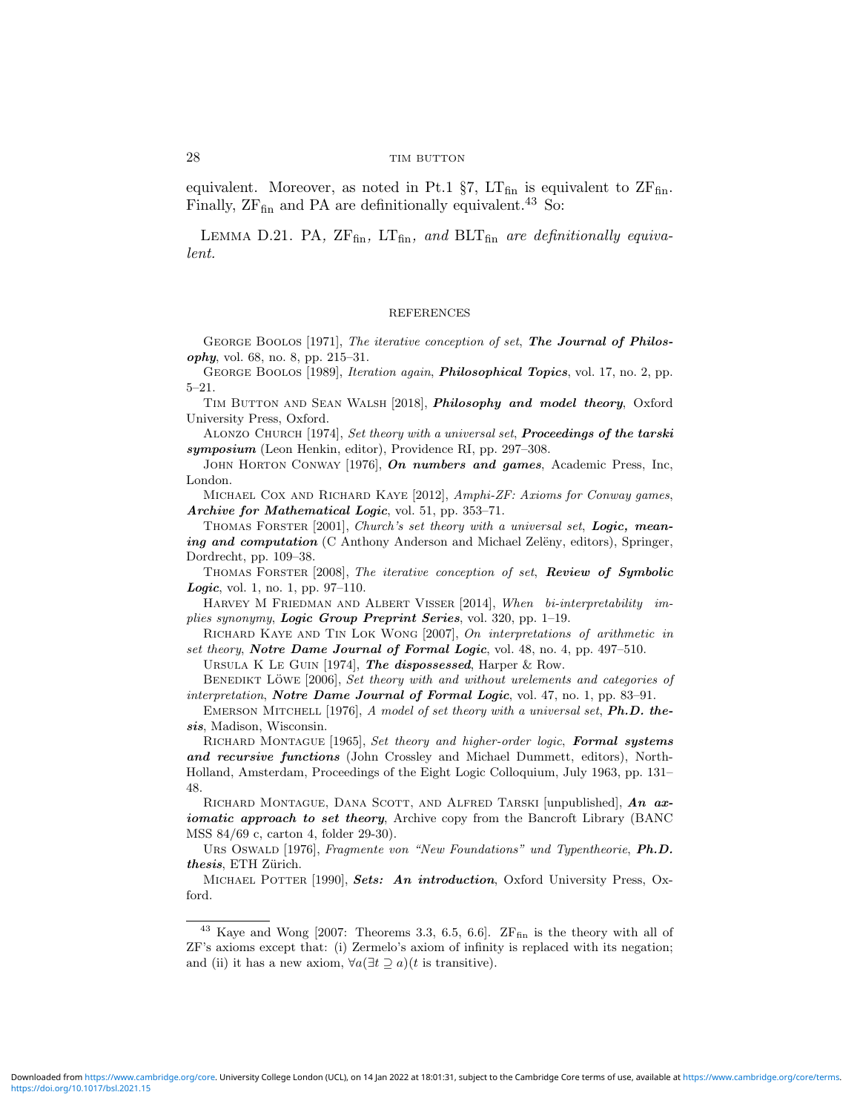equivalent. Moreover, as noted in Pt.1  $\S7$ , LT<sub>fin</sub> is equivalent to ZF<sub>fin</sub>. Finally,  $ZF_{fin}$  and PA are definitionally equivalent.<sup>43</sup> So:

LEMMA D.21. PA,  $ZF_{fin}$ ,  $LT_{fin}$ , and  $BLT_{fin}$  are definitionally equivalent.

#### REFERENCES

GEORGE BOOLOS [1971], The iterative conception of set, The Journal of Philosophy, vol. 68, no. 8, pp. 215–31.

GEORGE BOOLOS [1989], Iteration again, *Philosophical Topics*, vol. 17, no. 2, pp. 5–21.

TIM BUTTON AND SEAN WALSH [2018], *Philosophy and model theory*, Oxford University Press, Oxford.

ALONZO CHURCH [1974], Set theory with a universal set, **Proceedings of the tarski** symposium (Leon Henkin, editor), Providence RI, pp. 297–308.

JOHN HORTON CONWAY [1976], On numbers and games, Academic Press, Inc, London.

MICHAEL COX AND RICHARD KAYE [2012], Amphi-ZF: Axioms for Conway games, Archive for Mathematical Logic, vol. 51, pp. 353–71.

THOMAS FORSTER [2001], Church's set theory with a universal set, Logic, meaning and computation (C Anthony Anderson and Michael Zelëny, editors), Springer, Dordrecht, pp. 109–38.

THOMAS FORSTER [2008], The iterative conception of set, Review of Symbolic Logic, vol. 1, no. 1, pp. 97–110.

HARVEY M FRIEDMAN AND ALBERT VISSER [2014], When bi-interpretability implies synonymy, Logic Group Preprint Series, vol. 320, pp. 1–19.

Richard Kaye and Tin Lok Wong [2007], On interpretations of arithmetic in set theory, Notre Dame Journal of Formal Logic, vol. 48, no. 4, pp. 497-510.

URSULA K LE GUIN [1974], The dispossessed, Harper & Row.

BENEDIKT LÖWE [2006], Set theory with and without urelements and categories of interpretation, Notre Dame Journal of Formal Logic, vol. 47, no. 1, pp. 83-91.

EMERSON MITCHELL [1976], A model of set theory with a universal set, Ph.D. thesis, Madison, Wisconsin.

RICHARD MONTAGUE [1965], Set theory and higher-order logic, Formal systems and recursive functions (John Crossley and Michael Dummett, editors), North-Holland, Amsterdam, Proceedings of the Eight Logic Colloquium, July 1963, pp. 131– 48.

RICHARD MONTAGUE, DANA SCOTT, AND ALFRED TARSKI [unpublished],  $An$   $ax$ iomatic approach to set theory, Archive copy from the Bancroft Library (BANC MSS 84/69 c, carton 4, folder 29-30).

URS OSWALD [1976], Fragmente von "New Foundations" und Typentheorie, Ph.D. thesis, ETH Zürich.

MICHAEL POTTER [1990], Sets: An introduction, Oxford University Press, Oxford.

 $43$  Kaye and Wong [2007: Theorems 3.3, 6.5, 6.6]. ZFfin is the theory with all of ZF's axioms except that: (i) Zermelo's axiom of infinity is replaced with its negation; and (ii) it has a new axiom,  $\forall a(\exists t \supseteq a)(t)$  is transitive).